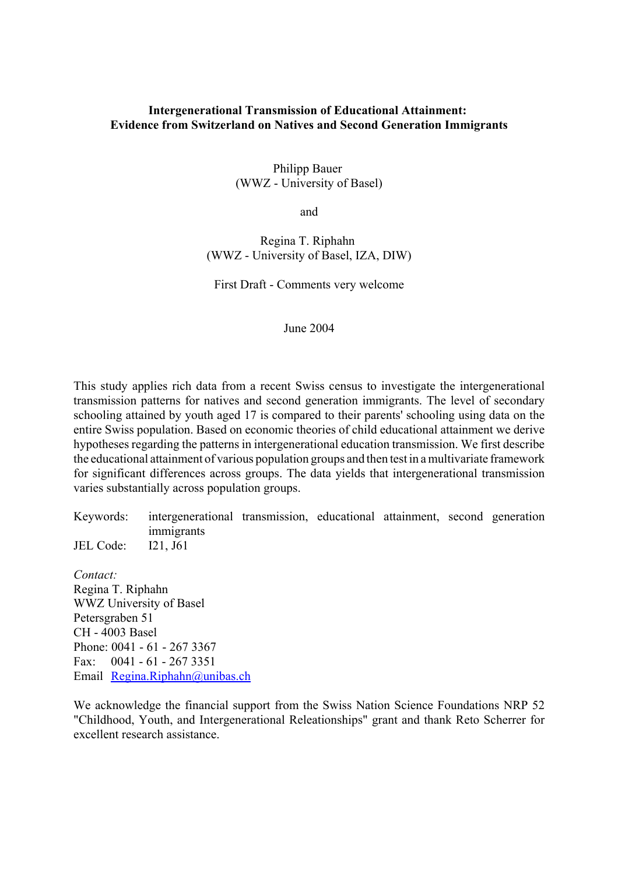## **Intergenerational Transmission of Educational Attainment: Evidence from Switzerland on Natives and Second Generation Immigrants**

## Philipp Bauer (WWZ - University of Basel)

and

# Regina T. Riphahn (WWZ - University of Basel, IZA, DIW)

First Draft - Comments very welcome

June 2004

This study applies rich data from a recent Swiss census to investigate the intergenerational transmission patterns for natives and second generation immigrants. The level of secondary schooling attained by youth aged 17 is compared to their parents' schooling using data on the entire Swiss population. Based on economic theories of child educational attainment we derive hypotheses regarding the patterns in intergenerational education transmission. We first describe the educational attainment of various population groups and then test in a multivariate framework for significant differences across groups. The data yields that intergenerational transmission varies substantially across population groups.

Keywords: intergenerational transmission, educational attainment, second generation immigrants JEL Code: I21, J61

*Contact:*  Regina T. Riphahn WWZ University of Basel Petersgraben 51 CH - 4003 Basel Phone: 0041 - 61 - 267 3367 Fax: 0041 - 61 - 267 3351 Email Regina.Riphahn@unibas.ch

We acknowledge the financial support from the Swiss Nation Science Foundations NRP 52 "Childhood, Youth, and Intergenerational Releationships" grant and thank Reto Scherrer for excellent research assistance.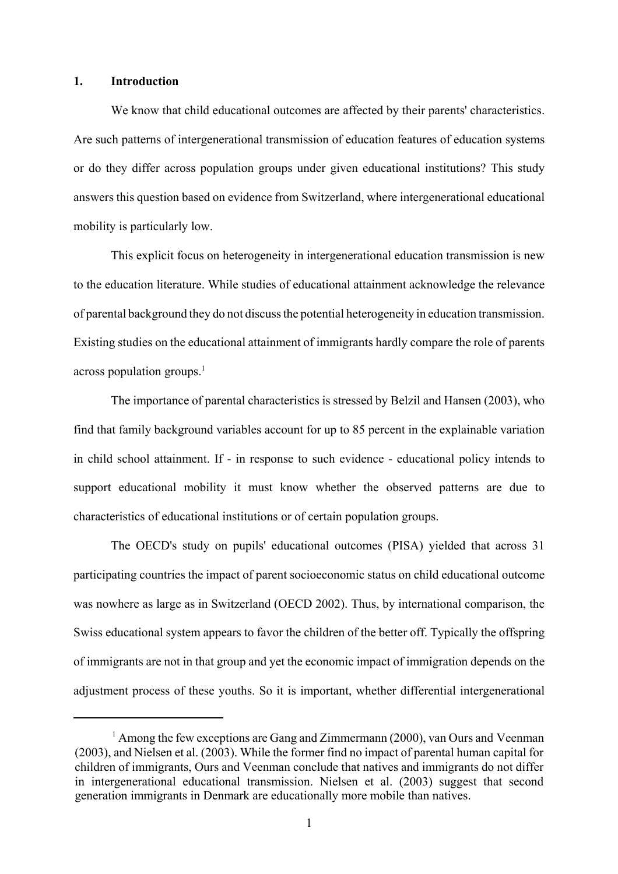## **1. Introduction**

We know that child educational outcomes are affected by their parents' characteristics. Are such patterns of intergenerational transmission of education features of education systems or do they differ across population groups under given educational institutions? This study answers this question based on evidence from Switzerland, where intergenerational educational mobility is particularly low.

This explicit focus on heterogeneity in intergenerational education transmission is new to the education literature. While studies of educational attainment acknowledge the relevance of parental background they do not discuss the potential heterogeneity in education transmission. Existing studies on the educational attainment of immigrants hardly compare the role of parents across population groups. $<sup>1</sup>$ </sup>

The importance of parental characteristics is stressed by Belzil and Hansen (2003), who find that family background variables account for up to 85 percent in the explainable variation in child school attainment. If - in response to such evidence - educational policy intends to support educational mobility it must know whether the observed patterns are due to characteristics of educational institutions or of certain population groups.

The OECD's study on pupils' educational outcomes (PISA) yielded that across 31 participating countries the impact of parent socioeconomic status on child educational outcome was nowhere as large as in Switzerland (OECD 2002). Thus, by international comparison, the Swiss educational system appears to favor the children of the better off. Typically the offspring of immigrants are not in that group and yet the economic impact of immigration depends on the adjustment process of these youths. So it is important, whether differential intergenerational

<sup>&</sup>lt;sup>1</sup> Among the few exceptions are Gang and Zimmermann (2000), van Ours and Veenman (2003), and Nielsen et al. (2003). While the former find no impact of parental human capital for children of immigrants, Ours and Veenman conclude that natives and immigrants do not differ in intergenerational educational transmission. Nielsen et al. (2003) suggest that second generation immigrants in Denmark are educationally more mobile than natives.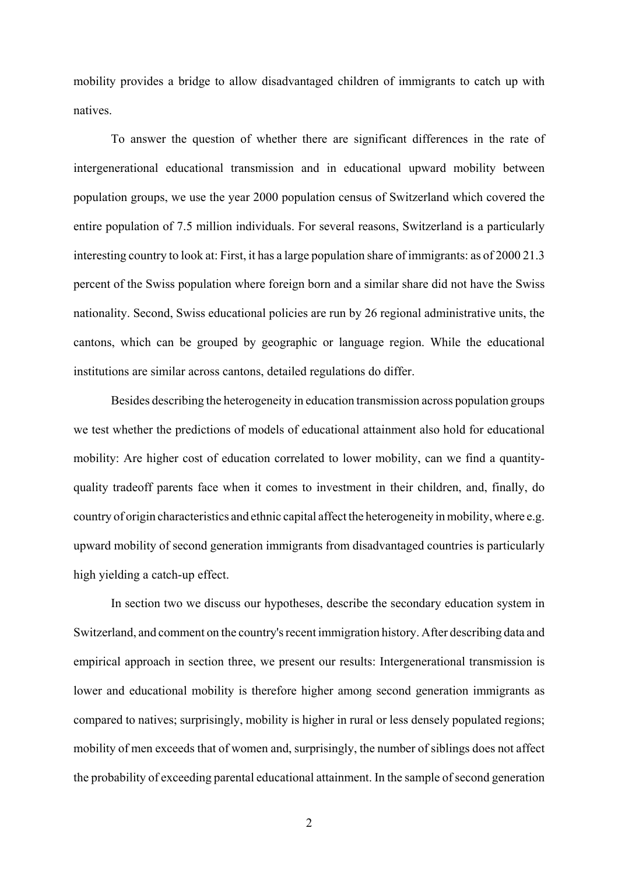mobility provides a bridge to allow disadvantaged children of immigrants to catch up with natives.

To answer the question of whether there are significant differences in the rate of intergenerational educational transmission and in educational upward mobility between population groups, we use the year 2000 population census of Switzerland which covered the entire population of 7.5 million individuals. For several reasons, Switzerland is a particularly interesting country to look at: First, it has a large population share of immigrants: as of 2000 21.3 percent of the Swiss population where foreign born and a similar share did not have the Swiss nationality. Second, Swiss educational policies are run by 26 regional administrative units, the cantons, which can be grouped by geographic or language region. While the educational institutions are similar across cantons, detailed regulations do differ.

Besides describing the heterogeneity in education transmission across population groups we test whether the predictions of models of educational attainment also hold for educational mobility: Are higher cost of education correlated to lower mobility, can we find a quantityquality tradeoff parents face when it comes to investment in their children, and, finally, do country of origin characteristics and ethnic capital affect the heterogeneity in mobility, where e.g. upward mobility of second generation immigrants from disadvantaged countries is particularly high yielding a catch-up effect.

In section two we discuss our hypotheses, describe the secondary education system in Switzerland, and comment on the country's recent immigration history. After describing data and empirical approach in section three, we present our results: Intergenerational transmission is lower and educational mobility is therefore higher among second generation immigrants as compared to natives; surprisingly, mobility is higher in rural or less densely populated regions; mobility of men exceeds that of women and, surprisingly, the number of siblings does not affect the probability of exceeding parental educational attainment. In the sample of second generation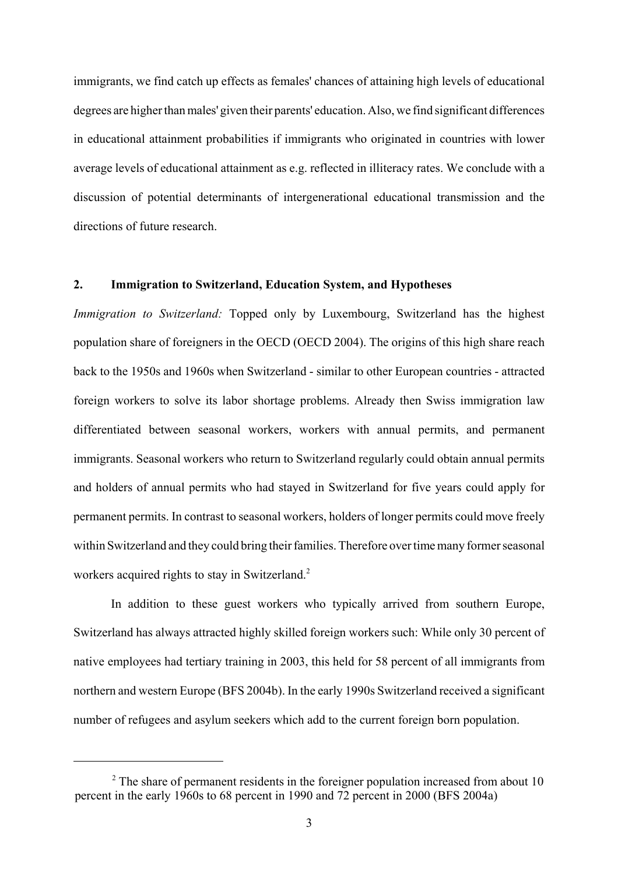immigrants, we find catch up effects as females' chances of attaining high levels of educational degrees are higher than males' given their parents' education. Also, we find significant differences in educational attainment probabilities if immigrants who originated in countries with lower average levels of educational attainment as e.g. reflected in illiteracy rates. We conclude with a discussion of potential determinants of intergenerational educational transmission and the directions of future research.

# **2. Immigration to Switzerland, Education System, and Hypotheses**

*Immigration to Switzerland:* Topped only by Luxembourg, Switzerland has the highest population share of foreigners in the OECD (OECD 2004). The origins of this high share reach back to the 1950s and 1960s when Switzerland - similar to other European countries - attracted foreign workers to solve its labor shortage problems. Already then Swiss immigration law differentiated between seasonal workers, workers with annual permits, and permanent immigrants. Seasonal workers who return to Switzerland regularly could obtain annual permits and holders of annual permits who had stayed in Switzerland for five years could apply for permanent permits. In contrast to seasonal workers, holders of longer permits could move freely within Switzerland and they could bring their families. Therefore over time many former seasonal workers acquired rights to stay in Switzerland.<sup>2</sup>

In addition to these guest workers who typically arrived from southern Europe, Switzerland has always attracted highly skilled foreign workers such: While only 30 percent of native employees had tertiary training in 2003, this held for 58 percent of all immigrants from northern and western Europe (BFS 2004b). In the early 1990s Switzerland received a significant number of refugees and asylum seekers which add to the current foreign born population.

 $2<sup>2</sup>$  The share of permanent residents in the foreigner population increased from about 10 percent in the early 1960s to 68 percent in 1990 and 72 percent in 2000 (BFS 2004a)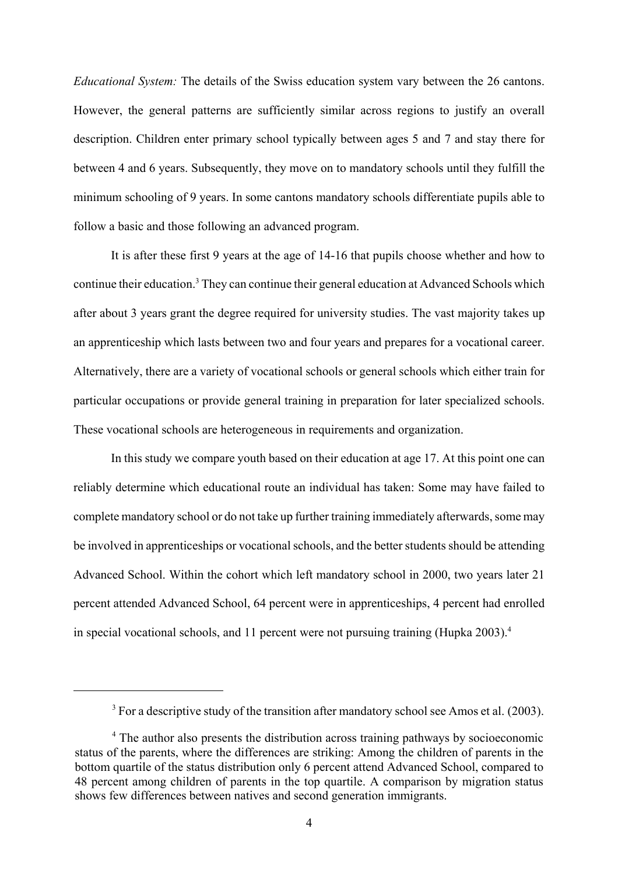*Educational System:* The details of the Swiss education system vary between the 26 cantons. However, the general patterns are sufficiently similar across regions to justify an overall description. Children enter primary school typically between ages 5 and 7 and stay there for between 4 and 6 years. Subsequently, they move on to mandatory schools until they fulfill the minimum schooling of 9 years. In some cantons mandatory schools differentiate pupils able to follow a basic and those following an advanced program.

It is after these first 9 years at the age of 14-16 that pupils choose whether and how to continue their education.<sup>3</sup> They can continue their general education at Advanced Schools which after about 3 years grant the degree required for university studies. The vast majority takes up an apprenticeship which lasts between two and four years and prepares for a vocational career. Alternatively, there are a variety of vocational schools or general schools which either train for particular occupations or provide general training in preparation for later specialized schools. These vocational schools are heterogeneous in requirements and organization.

In this study we compare youth based on their education at age 17. At this point one can reliably determine which educational route an individual has taken: Some may have failed to complete mandatory school or do not take up further training immediately afterwards, some may be involved in apprenticeships or vocational schools, and the better students should be attending Advanced School. Within the cohort which left mandatory school in 2000, two years later 21 percent attended Advanced School, 64 percent were in apprenticeships, 4 percent had enrolled in special vocational schools, and 11 percent were not pursuing training (Hupka  $2003$ ).<sup>4</sup>

 $3$  For a descriptive study of the transition after mandatory school see Amos et al. (2003).

<sup>&</sup>lt;sup>4</sup> The author also presents the distribution across training pathways by socioeconomic status of the parents, where the differences are striking: Among the children of parents in the bottom quartile of the status distribution only 6 percent attend Advanced School, compared to 48 percent among children of parents in the top quartile. A comparison by migration status shows few differences between natives and second generation immigrants.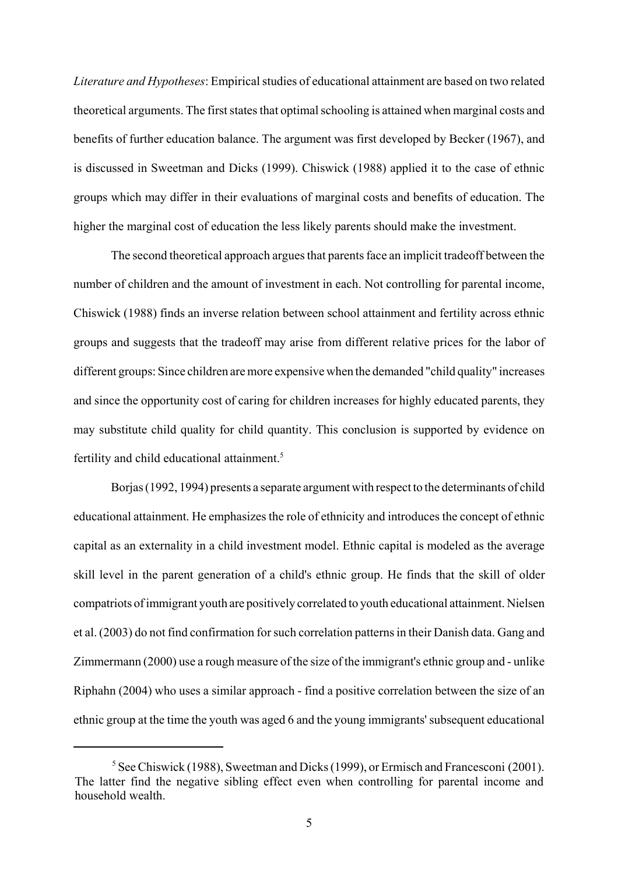*Literature and Hypotheses*: Empirical studies of educational attainment are based on two related theoretical arguments. The first states that optimal schooling is attained when marginal costs and benefits of further education balance. The argument was first developed by Becker (1967), and is discussed in Sweetman and Dicks (1999). Chiswick (1988) applied it to the case of ethnic groups which may differ in their evaluations of marginal costs and benefits of education. The higher the marginal cost of education the less likely parents should make the investment.

The second theoretical approach argues that parents face an implicit tradeoff between the number of children and the amount of investment in each. Not controlling for parental income, Chiswick (1988) finds an inverse relation between school attainment and fertility across ethnic groups and suggests that the tradeoff may arise from different relative prices for the labor of different groups: Since children are more expensive when the demanded "child quality" increases and since the opportunity cost of caring for children increases for highly educated parents, they may substitute child quality for child quantity. This conclusion is supported by evidence on fertility and child educational attainment.<sup>5</sup>

Borjas (1992, 1994) presents a separate argument with respect to the determinants of child educational attainment. He emphasizes the role of ethnicity and introduces the concept of ethnic capital as an externality in a child investment model. Ethnic capital is modeled as the average skill level in the parent generation of a child's ethnic group. He finds that the skill of older compatriots of immigrant youth are positively correlated to youth educational attainment. Nielsen et al. (2003) do not find confirmation for such correlation patterns in their Danish data. Gang and Zimmermann (2000) use a rough measure of the size of the immigrant's ethnic group and - unlike Riphahn (2004) who uses a similar approach - find a positive correlation between the size of an ethnic group at the time the youth was aged 6 and the young immigrants' subsequent educational

<sup>&</sup>lt;sup>5</sup> See Chiswick (1988), Sweetman and Dicks (1999), or Ermisch and Francesconi (2001). The latter find the negative sibling effect even when controlling for parental income and household wealth.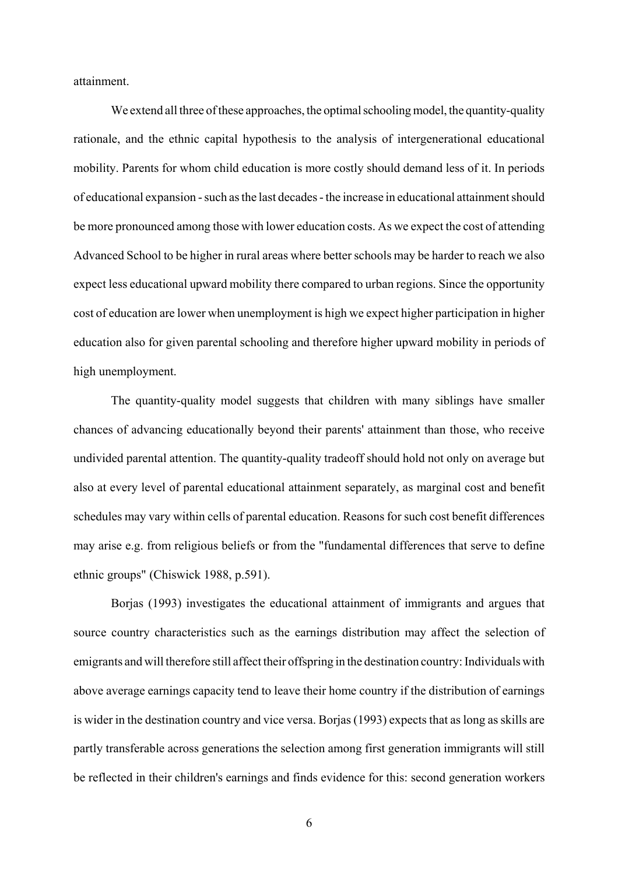attainment.

We extend all three of these approaches, the optimal schooling model, the quantity-quality rationale, and the ethnic capital hypothesis to the analysis of intergenerational educational mobility. Parents for whom child education is more costly should demand less of it. In periods of educational expansion - such as the last decades - the increase in educational attainment should be more pronounced among those with lower education costs. As we expect the cost of attending Advanced School to be higher in rural areas where better schools may be harder to reach we also expect less educational upward mobility there compared to urban regions. Since the opportunity cost of education are lower when unemployment is high we expect higher participation in higher education also for given parental schooling and therefore higher upward mobility in periods of high unemployment.

The quantity-quality model suggests that children with many siblings have smaller chances of advancing educationally beyond their parents' attainment than those, who receive undivided parental attention. The quantity-quality tradeoff should hold not only on average but also at every level of parental educational attainment separately, as marginal cost and benefit schedules may vary within cells of parental education. Reasons for such cost benefit differences may arise e.g. from religious beliefs or from the "fundamental differences that serve to define ethnic groups" (Chiswick 1988, p.591).

Borjas (1993) investigates the educational attainment of immigrants and argues that source country characteristics such as the earnings distribution may affect the selection of emigrants and will therefore still affect their offspring in the destination country: Individuals with above average earnings capacity tend to leave their home country if the distribution of earnings is wider in the destination country and vice versa. Borjas (1993) expects that as long as skills are partly transferable across generations the selection among first generation immigrants will still be reflected in their children's earnings and finds evidence for this: second generation workers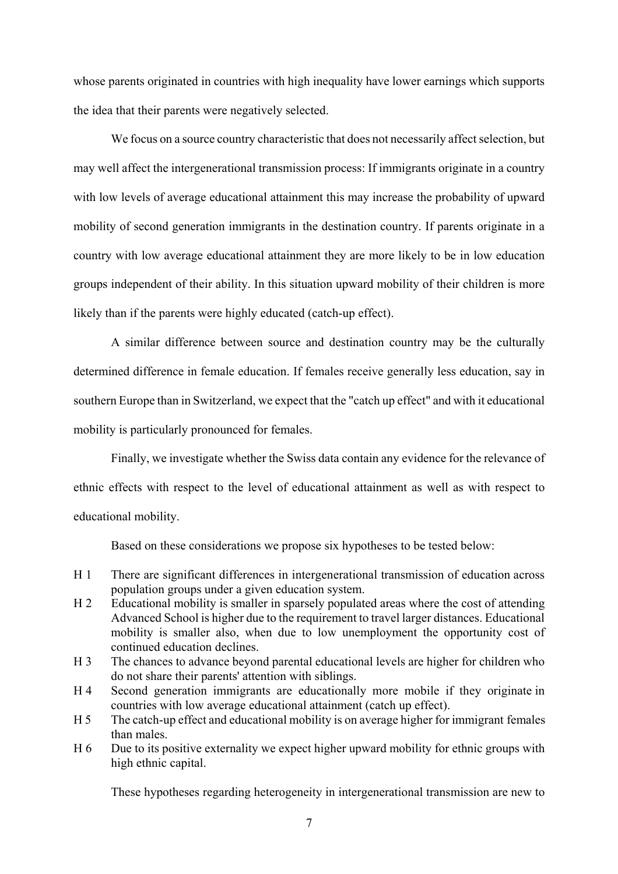whose parents originated in countries with high inequality have lower earnings which supports the idea that their parents were negatively selected.

We focus on a source country characteristic that does not necessarily affect selection, but may well affect the intergenerational transmission process: If immigrants originate in a country with low levels of average educational attainment this may increase the probability of upward mobility of second generation immigrants in the destination country. If parents originate in a country with low average educational attainment they are more likely to be in low education groups independent of their ability. In this situation upward mobility of their children is more likely than if the parents were highly educated (catch-up effect).

A similar difference between source and destination country may be the culturally determined difference in female education. If females receive generally less education, say in southern Europe than in Switzerland, we expect that the "catch up effect" and with it educational mobility is particularly pronounced for females.

Finally, we investigate whether the Swiss data contain any evidence for the relevance of ethnic effects with respect to the level of educational attainment as well as with respect to educational mobility.

Based on these considerations we propose six hypotheses to be tested below:

- H 1 There are significant differences in intergenerational transmission of education across population groups under a given education system.
- H 2 Educational mobility is smaller in sparsely populated areas where the cost of attending Advanced School is higher due to the requirement to travel larger distances. Educational mobility is smaller also, when due to low unemployment the opportunity cost of continued education declines.
- H 3 The chances to advance beyond parental educational levels are higher for children who do not share their parents' attention with siblings.
- H 4 Second generation immigrants are educationally more mobile if they originate in countries with low average educational attainment (catch up effect).
- H 5 The catch-up effect and educational mobility is on average higher for immigrant females than males.
- H 6 Due to its positive externality we expect higher upward mobility for ethnic groups with high ethnic capital.

These hypotheses regarding heterogeneity in intergenerational transmission are new to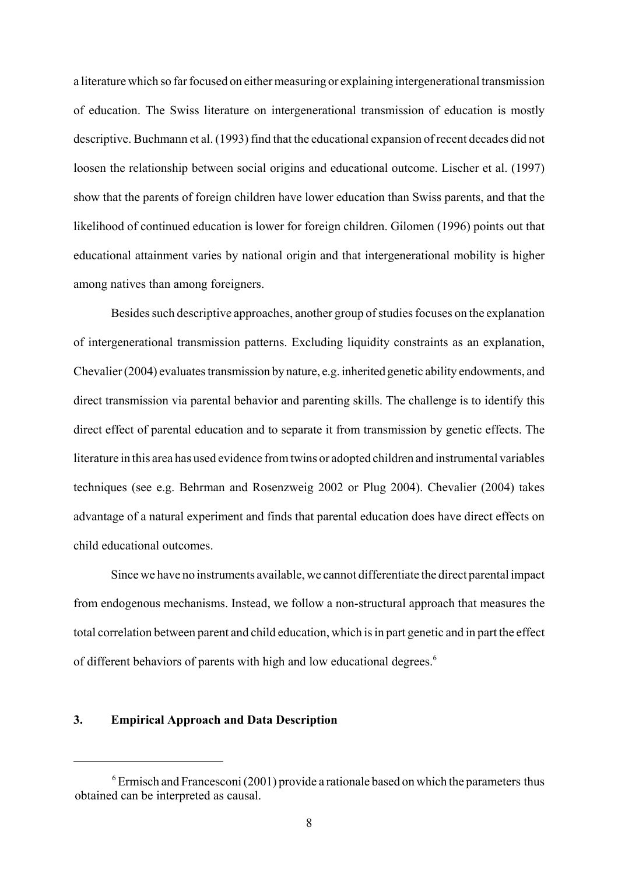a literature which so far focused on either measuring or explaining intergenerational transmission of education. The Swiss literature on intergenerational transmission of education is mostly descriptive. Buchmann et al. (1993) find that the educational expansion of recent decades did not loosen the relationship between social origins and educational outcome. Lischer et al. (1997) show that the parents of foreign children have lower education than Swiss parents, and that the likelihood of continued education is lower for foreign children. Gilomen (1996) points out that educational attainment varies by national origin and that intergenerational mobility is higher among natives than among foreigners.

Besides such descriptive approaches, another group of studies focuses on the explanation of intergenerational transmission patterns. Excluding liquidity constraints as an explanation, Chevalier (2004) evaluates transmission by nature, e.g. inherited genetic ability endowments, and direct transmission via parental behavior and parenting skills. The challenge is to identify this direct effect of parental education and to separate it from transmission by genetic effects. The literature in this area has used evidence from twins or adopted children and instrumental variables techniques (see e.g. Behrman and Rosenzweig 2002 or Plug 2004). Chevalier (2004) takes advantage of a natural experiment and finds that parental education does have direct effects on child educational outcomes.

Since we have no instruments available, we cannot differentiate the direct parental impact from endogenous mechanisms. Instead, we follow a non-structural approach that measures the total correlation between parent and child education, which is in part genetic and in part the effect of different behaviors of parents with high and low educational degrees.<sup>6</sup>

## **3. Empirical Approach and Data Description**

 $6$  Ermisch and Francesconi (2001) provide a rationale based on which the parameters thus obtained can be interpreted as causal.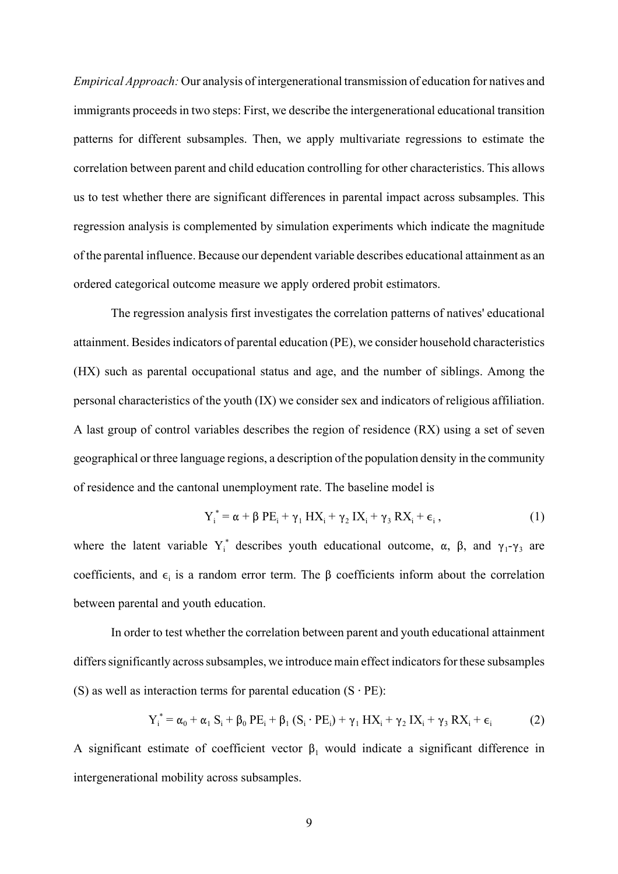*Empirical Approach:* Our analysis of intergenerational transmission of education for natives and immigrants proceeds in two steps: First, we describe the intergenerational educational transition patterns for different subsamples. Then, we apply multivariate regressions to estimate the correlation between parent and child education controlling for other characteristics. This allows us to test whether there are significant differences in parental impact across subsamples. This regression analysis is complemented by simulation experiments which indicate the magnitude of the parental influence. Because our dependent variable describes educational attainment as an ordered categorical outcome measure we apply ordered probit estimators.

The regression analysis first investigates the correlation patterns of natives' educational attainment. Besides indicators of parental education (PE), we consider household characteristics (HX) such as parental occupational status and age, and the number of siblings. Among the personal characteristics of the youth (IX) we consider sex and indicators of religious affiliation. A last group of control variables describes the region of residence (RX) using a set of seven geographical or three language regions, a description of the population density in the community of residence and the cantonal unemployment rate. The baseline model is

$$
Y_i^* = \alpha + \beta PE_i + \gamma_1 HX_i + \gamma_2 IX_i + \gamma_3 RX_i + \epsilon_i,
$$
\n(1)

where the latent variable  $Y_i^*$  describes youth educational outcome,  $\alpha$ ,  $\beta$ , and  $\gamma_1$ - $\gamma_3$  are coefficients, and  $\epsilon_i$  is a random error term. The  $\beta$  coefficients inform about the correlation between parental and youth education.

In order to test whether the correlation between parent and youth educational attainment differs significantly across subsamples, we introduce main effect indicators for these subsamples (S) as well as interaction terms for parental education  $(S \cdot PE)$ :

$$
Y_i^* = \alpha_0 + \alpha_1 S_i + \beta_0 PE_i + \beta_1 (S_i \cdot PE_i) + \gamma_1 H X_i + \gamma_2 IX_i + \gamma_3 RX_i + \epsilon_i
$$
 (2)

A significant estimate of coefficient vector  $\beta_1$  would indicate a significant difference in intergenerational mobility across subsamples.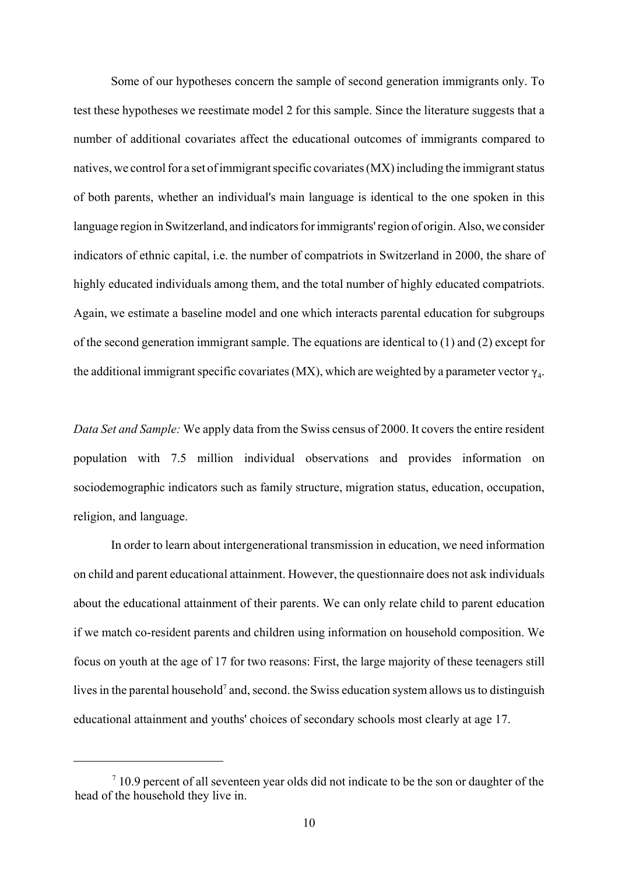Some of our hypotheses concern the sample of second generation immigrants only. To test these hypotheses we reestimate model 2 for this sample. Since the literature suggests that a number of additional covariates affect the educational outcomes of immigrants compared to natives, we control for a set of immigrant specific covariates (MX) including the immigrant status of both parents, whether an individual's main language is identical to the one spoken in this language region in Switzerland, and indicators for immigrants' region of origin. Also, we consider indicators of ethnic capital, i.e. the number of compatriots in Switzerland in 2000, the share of highly educated individuals among them, and the total number of highly educated compatriots. Again, we estimate a baseline model and one which interacts parental education for subgroups of the second generation immigrant sample. The equations are identical to (1) and (2) except for the additional immigrant specific covariates (MX), which are weighted by a parameter vector  $\gamma_A$ .

*Data Set and Sample:* We apply data from the Swiss census of 2000. It covers the entire resident population with 7.5 million individual observations and provides information on sociodemographic indicators such as family structure, migration status, education, occupation, religion, and language.

In order to learn about intergenerational transmission in education, we need information on child and parent educational attainment. However, the questionnaire does not ask individuals about the educational attainment of their parents. We can only relate child to parent education if we match co-resident parents and children using information on household composition. We focus on youth at the age of 17 for two reasons: First, the large majority of these teenagers still lives in the parental household<sup>7</sup> and, second. the Swiss education system allows us to distinguish educational attainment and youths' choices of secondary schools most clearly at age 17.

 $7$  10.9 percent of all seventeen year olds did not indicate to be the son or daughter of the head of the household they live in.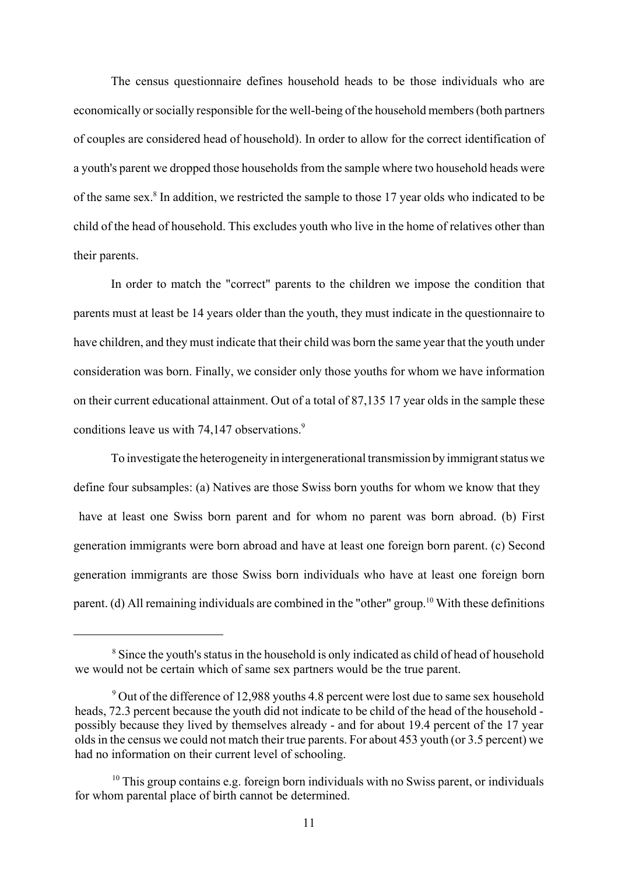The census questionnaire defines household heads to be those individuals who are economically or socially responsible for the well-being of the household members (both partners of couples are considered head of household). In order to allow for the correct identification of a youth's parent we dropped those households from the sample where two household heads were of the same sex.<sup>8</sup> In addition, we restricted the sample to those 17 year olds who indicated to be child of the head of household. This excludes youth who live in the home of relatives other than their parents.

In order to match the "correct" parents to the children we impose the condition that parents must at least be 14 years older than the youth, they must indicate in the questionnaire to have children, and they must indicate that their child was born the same year that the youth under consideration was born. Finally, we consider only those youths for whom we have information on their current educational attainment. Out of a total of 87,135 17 year olds in the sample these conditions leave us with 74,147 observations.<sup>9</sup>

To investigate the heterogeneity in intergenerational transmission by immigrant status we define four subsamples: (a) Natives are those Swiss born youths for whom we know that they have at least one Swiss born parent and for whom no parent was born abroad. (b) First generation immigrants were born abroad and have at least one foreign born parent. (c) Second generation immigrants are those Swiss born individuals who have at least one foreign born parent. (d) All remaining individuals are combined in the "other" group.<sup>10</sup> With these definitions

<sup>&</sup>lt;sup>8</sup> Since the youth's status in the household is only indicated as child of head of household we would not be certain which of same sex partners would be the true parent.

<sup>&</sup>lt;sup>9</sup> Out of the difference of 12,988 youths 4.8 percent were lost due to same sex household heads, 72.3 percent because the youth did not indicate to be child of the head of the household possibly because they lived by themselves already - and for about 19.4 percent of the 17 year olds in the census we could not match their true parents. For about 453 youth (or 3.5 percent) we had no information on their current level of schooling.

 $10$  This group contains e.g. foreign born individuals with no Swiss parent, or individuals for whom parental place of birth cannot be determined.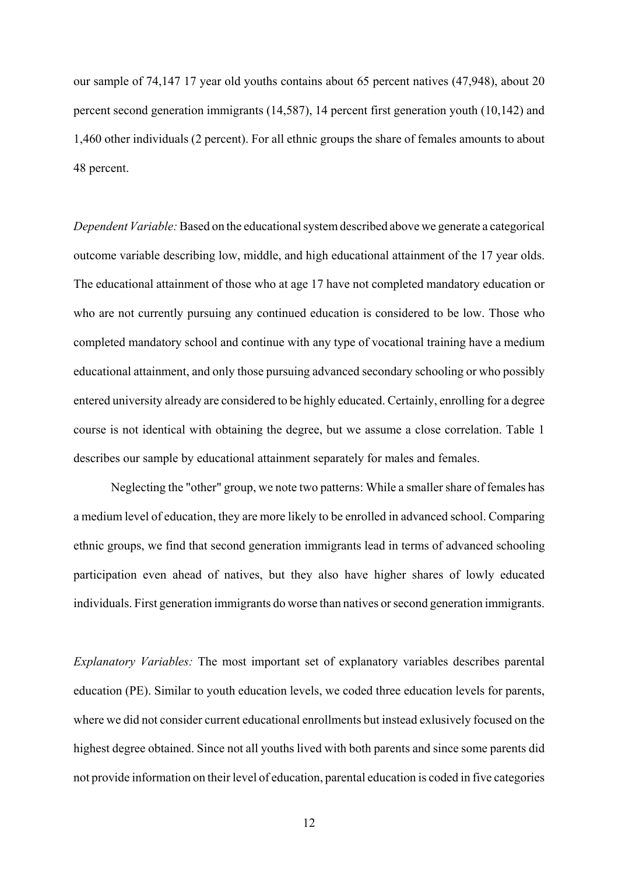our sample of 74,147 17 year old youths contains about 65 percent natives (47,948), about 20 percent second generation immigrants (14,587), 14 percent first generation youth (10,142) and 1,460 other individuals (2 percent). For all ethnic groups the share of females amounts to about 48 percent.

*Dependent Variable:* Based on the educational system described above we generate a categorical outcome variable describing low, middle, and high educational attainment of the 17 year olds. The educational attainment of those who at age 17 have not completed mandatory education or who are not currently pursuing any continued education is considered to be low. Those who completed mandatory school and continue with any type of vocational training have a medium educational attainment, and only those pursuing advanced secondary schooling or who possibly entered university already are considered to be highly educated. Certainly, enrolling for a degree course is not identical with obtaining the degree, but we assume a close correlation. Table 1 describes our sample by educational attainment separately for males and females.

Neglecting the "other" group, we note two patterns: While a smaller share of females has a medium level of education, they are more likely to be enrolled in advanced school. Comparing ethnic groups, we find that second generation immigrants lead in terms of advanced schooling participation even ahead of natives, but they also have higher shares of lowly educated individuals. First generation immigrants do worse than natives or second generation immigrants.

*Explanatory Variables:* The most important set of explanatory variables describes parental education (PE). Similar to youth education levels, we coded three education levels for parents, where we did not consider current educational enrollments but instead exlusively focused on the highest degree obtained. Since not all youths lived with both parents and since some parents did not provide information on their level of education, parental education is coded in five categories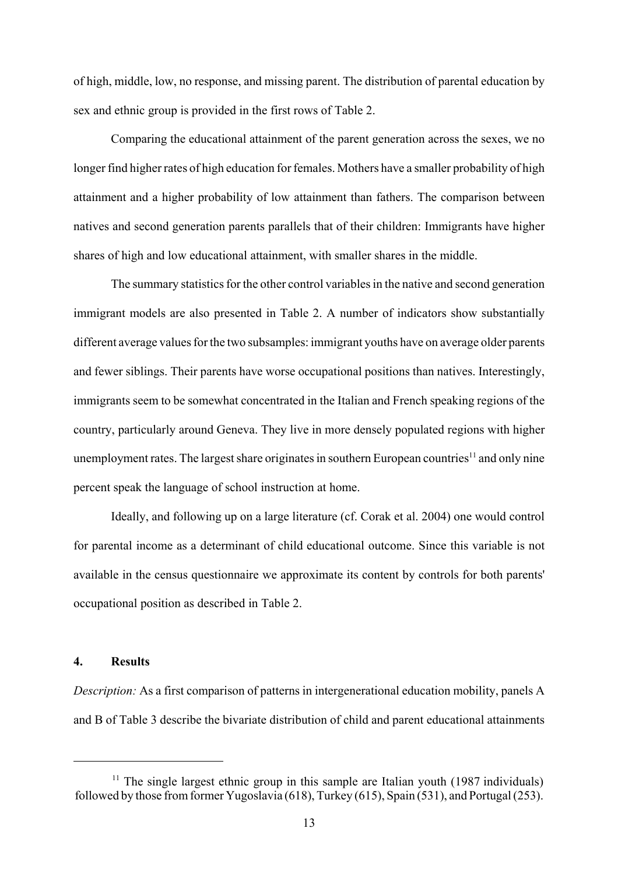of high, middle, low, no response, and missing parent. The distribution of parental education by sex and ethnic group is provided in the first rows of Table 2.

Comparing the educational attainment of the parent generation across the sexes, we no longer find higher rates of high education for females. Mothers have a smaller probability of high attainment and a higher probability of low attainment than fathers. The comparison between natives and second generation parents parallels that of their children: Immigrants have higher shares of high and low educational attainment, with smaller shares in the middle.

The summary statistics for the other control variables in the native and second generation immigrant models are also presented in Table 2. A number of indicators show substantially different average values for the two subsamples: immigrant youths have on average older parents and fewer siblings. Their parents have worse occupational positions than natives. Interestingly, immigrants seem to be somewhat concentrated in the Italian and French speaking regions of the country, particularly around Geneva. They live in more densely populated regions with higher unemployment rates. The largest share originates in southern European countries<sup>11</sup> and only nine percent speak the language of school instruction at home.

Ideally, and following up on a large literature (cf. Corak et al. 2004) one would control for parental income as a determinant of child educational outcome. Since this variable is not available in the census questionnaire we approximate its content by controls for both parents' occupational position as described in Table 2.

#### **4. Results**

*Description:* As a first comparison of patterns in intergenerational education mobility, panels A and B of Table 3 describe the bivariate distribution of child and parent educational attainments

<sup>&</sup>lt;sup>11</sup> The single largest ethnic group in this sample are Italian youth (1987 individuals) followed by those from former Yugoslavia (618), Turkey (615), Spain (531), and Portugal (253).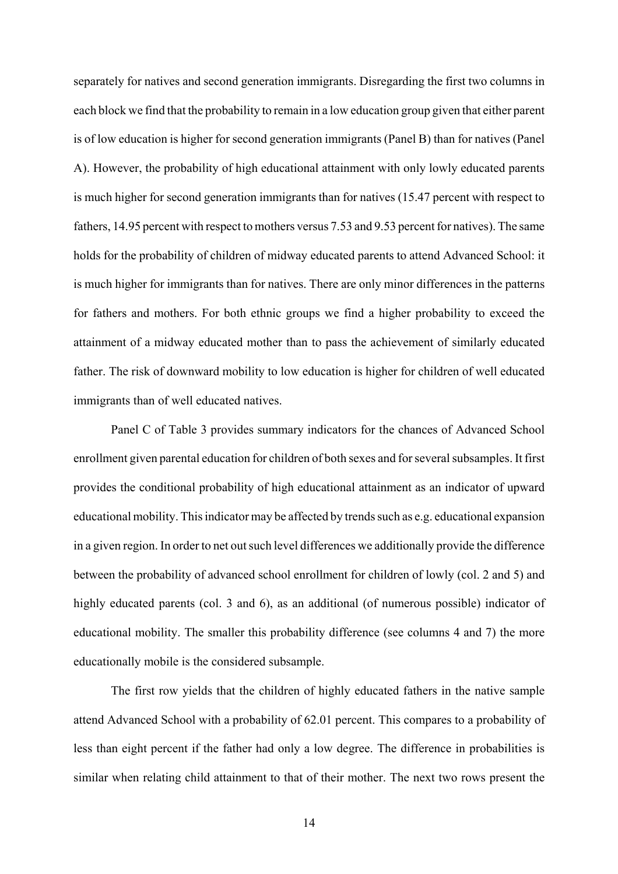separately for natives and second generation immigrants. Disregarding the first two columns in each block we find that the probability to remain in a low education group given that either parent is of low education is higher for second generation immigrants (Panel B) than for natives (Panel A). However, the probability of high educational attainment with only lowly educated parents is much higher for second generation immigrants than for natives (15.47 percent with respect to fathers, 14.95 percent with respect to mothers versus 7.53 and 9.53 percent for natives). The same holds for the probability of children of midway educated parents to attend Advanced School: it is much higher for immigrants than for natives. There are only minor differences in the patterns for fathers and mothers. For both ethnic groups we find a higher probability to exceed the attainment of a midway educated mother than to pass the achievement of similarly educated father. The risk of downward mobility to low education is higher for children of well educated immigrants than of well educated natives.

Panel C of Table 3 provides summary indicators for the chances of Advanced School enrollment given parental education for children of both sexes and for several subsamples. It first provides the conditional probability of high educational attainment as an indicator of upward educational mobility. This indicator may be affected by trends such as e.g. educational expansion in a given region. In order to net out such level differences we additionally provide the difference between the probability of advanced school enrollment for children of lowly (col. 2 and 5) and highly educated parents (col. 3 and 6), as an additional (of numerous possible) indicator of educational mobility. The smaller this probability difference (see columns 4 and 7) the more educationally mobile is the considered subsample.

The first row yields that the children of highly educated fathers in the native sample attend Advanced School with a probability of 62.01 percent. This compares to a probability of less than eight percent if the father had only a low degree. The difference in probabilities is similar when relating child attainment to that of their mother. The next two rows present the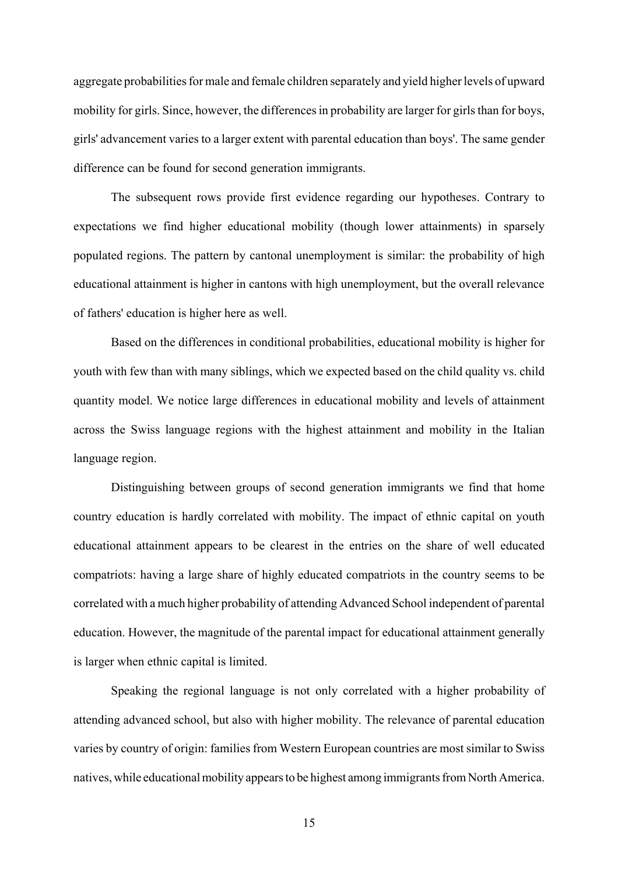aggregate probabilities for male and female children separately and yield higher levels of upward mobility for girls. Since, however, the differences in probability are larger for girls than for boys, girls' advancement varies to a larger extent with parental education than boys'. The same gender difference can be found for second generation immigrants.

The subsequent rows provide first evidence regarding our hypotheses. Contrary to expectations we find higher educational mobility (though lower attainments) in sparsely populated regions. The pattern by cantonal unemployment is similar: the probability of high educational attainment is higher in cantons with high unemployment, but the overall relevance of fathers' education is higher here as well.

Based on the differences in conditional probabilities, educational mobility is higher for youth with few than with many siblings, which we expected based on the child quality vs. child quantity model. We notice large differences in educational mobility and levels of attainment across the Swiss language regions with the highest attainment and mobility in the Italian language region.

Distinguishing between groups of second generation immigrants we find that home country education is hardly correlated with mobility. The impact of ethnic capital on youth educational attainment appears to be clearest in the entries on the share of well educated compatriots: having a large share of highly educated compatriots in the country seems to be correlated with a much higher probability of attending Advanced School independent of parental education. However, the magnitude of the parental impact for educational attainment generally is larger when ethnic capital is limited.

Speaking the regional language is not only correlated with a higher probability of attending advanced school, but also with higher mobility. The relevance of parental education varies by country of origin: families from Western European countries are most similar to Swiss natives, while educational mobility appears to be highest among immigrants from North America.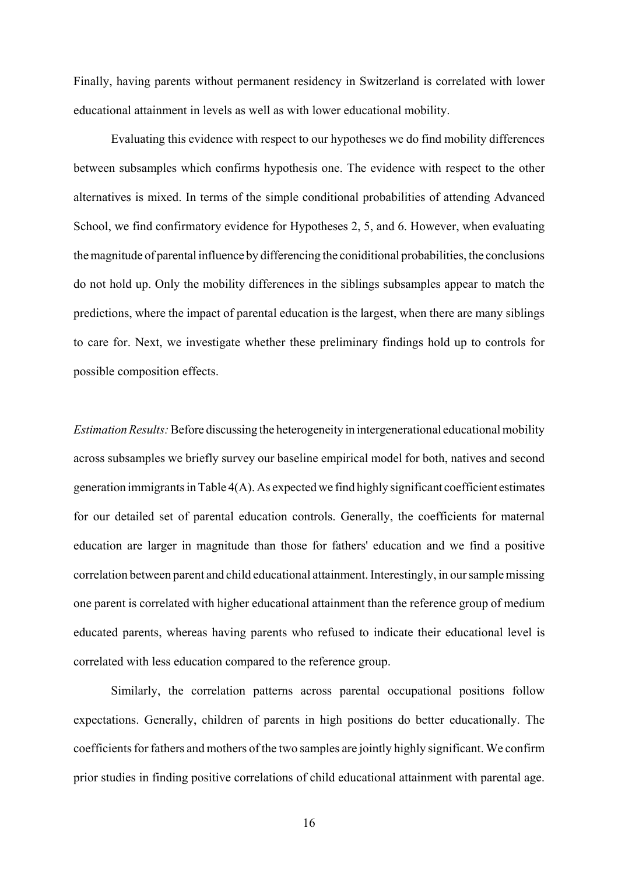Finally, having parents without permanent residency in Switzerland is correlated with lower educational attainment in levels as well as with lower educational mobility.

Evaluating this evidence with respect to our hypotheses we do find mobility differences between subsamples which confirms hypothesis one. The evidence with respect to the other alternatives is mixed. In terms of the simple conditional probabilities of attending Advanced School, we find confirmatory evidence for Hypotheses 2, 5, and 6. However, when evaluating the magnitude of parental influence by differencing the coniditional probabilities, the conclusions do not hold up. Only the mobility differences in the siblings subsamples appear to match the predictions, where the impact of parental education is the largest, when there are many siblings to care for. Next, we investigate whether these preliminary findings hold up to controls for possible composition effects.

*Estimation Results:* Before discussing the heterogeneity in intergenerational educational mobility across subsamples we briefly survey our baseline empirical model for both, natives and second generation immigrants in Table 4(A). As expected we find highly significant coefficient estimates for our detailed set of parental education controls. Generally, the coefficients for maternal education are larger in magnitude than those for fathers' education and we find a positive correlation between parent and child educational attainment. Interestingly, in our sample missing one parent is correlated with higher educational attainment than the reference group of medium educated parents, whereas having parents who refused to indicate their educational level is correlated with less education compared to the reference group.

Similarly, the correlation patterns across parental occupational positions follow expectations. Generally, children of parents in high positions do better educationally. The coefficients for fathers and mothers of the two samples are jointly highly significant. We confirm prior studies in finding positive correlations of child educational attainment with parental age.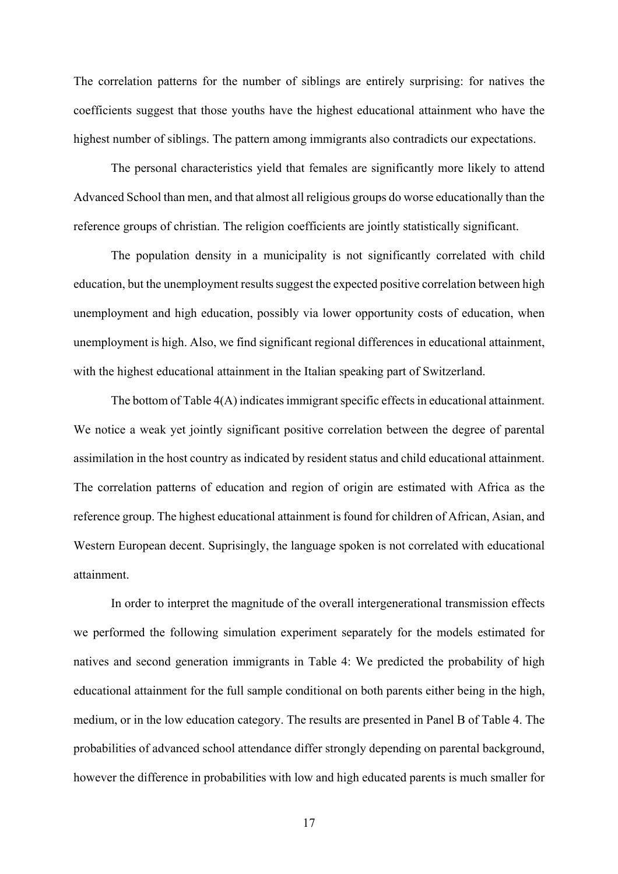The correlation patterns for the number of siblings are entirely surprising: for natives the coefficients suggest that those youths have the highest educational attainment who have the highest number of siblings. The pattern among immigrants also contradicts our expectations.

The personal characteristics yield that females are significantly more likely to attend Advanced School than men, and that almost all religious groups do worse educationally than the reference groups of christian. The religion coefficients are jointly statistically significant.

The population density in a municipality is not significantly correlated with child education, but the unemployment results suggest the expected positive correlation between high unemployment and high education, possibly via lower opportunity costs of education, when unemployment is high. Also, we find significant regional differences in educational attainment, with the highest educational attainment in the Italian speaking part of Switzerland.

The bottom of Table 4(A) indicates immigrant specific effects in educational attainment. We notice a weak yet jointly significant positive correlation between the degree of parental assimilation in the host country as indicated by resident status and child educational attainment. The correlation patterns of education and region of origin are estimated with Africa as the reference group. The highest educational attainment is found for children of African, Asian, and Western European decent. Suprisingly, the language spoken is not correlated with educational attainment.

In order to interpret the magnitude of the overall intergenerational transmission effects we performed the following simulation experiment separately for the models estimated for natives and second generation immigrants in Table 4: We predicted the probability of high educational attainment for the full sample conditional on both parents either being in the high, medium, or in the low education category. The results are presented in Panel B of Table 4. The probabilities of advanced school attendance differ strongly depending on parental background, however the difference in probabilities with low and high educated parents is much smaller for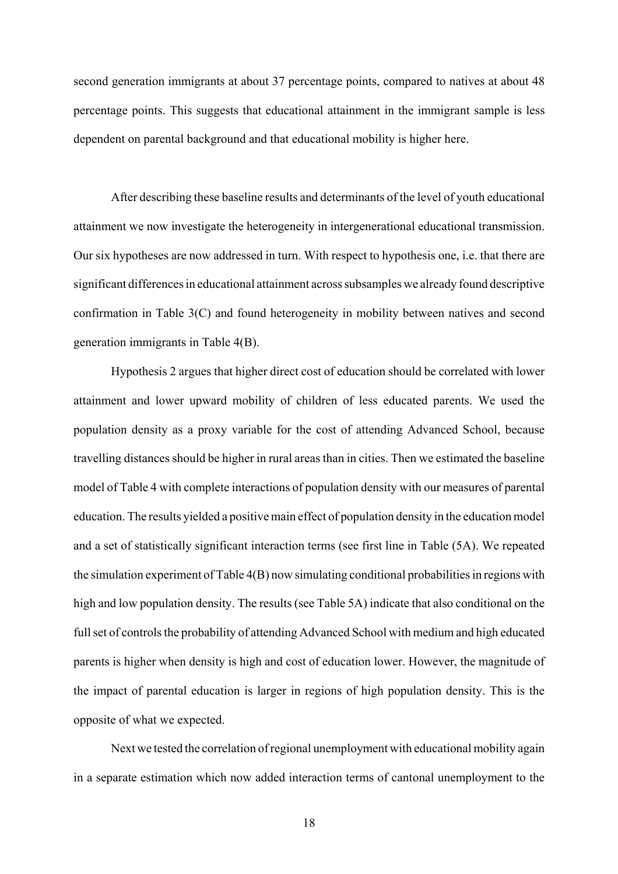second generation immigrants at about 37 percentage points, compared to natives at about 48 percentage points. This suggests that educational attainment in the immigrant sample is less dependent on parental background and that educational mobility is higher here.

After describing these baseline results and determinants of the level of youth educational attainment we now investigate the heterogeneity in intergenerational educational transmission. Our six hypotheses are now addressed in turn. With respect to hypothesis one, i.e. that there are significant differences in educational attainment across subsamples we already found descriptive confirmation in Table 3(C) and found heterogeneity in mobility between natives and second generation immigrants in Table 4(B).

Hypothesis 2 argues that higher direct cost of education should be correlated with lower attainment and lower upward mobility of children of less educated parents. We used the population density as a proxy variable for the cost of attending Advanced School, because travelling distances should be higher in rural areas than in cities. Then we estimated the baseline model of Table 4 with complete interactions of population density with our measures of parental education. The results yielded a positive main effect of population density in the education model and a set of statistically significant interaction terms (see first line in Table (5A). We repeated the simulation experiment of Table 4(B) now simulating conditional probabilities in regions with high and low population density. The results (see Table 5A) indicate that also conditional on the full set of controls the probability of attending Advanced School with medium and high educated parents is higher when density is high and cost of education lower. However, the magnitude of the impact of parental education is larger in regions of high population density. This is the opposite of what we expected.

Next we tested the correlation of regional unemployment with educational mobility again in a separate estimation which now added interaction terms of cantonal unemployment to the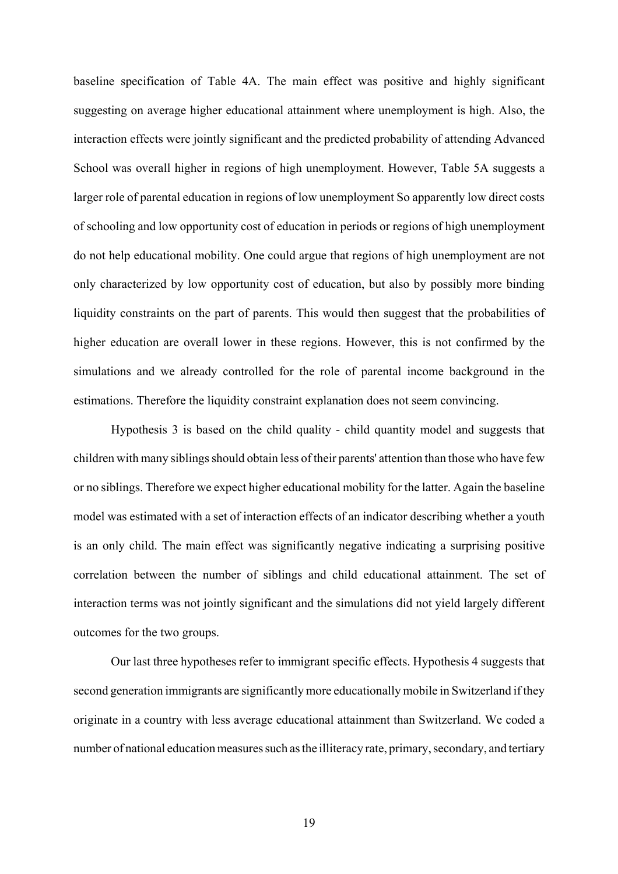baseline specification of Table 4A. The main effect was positive and highly significant suggesting on average higher educational attainment where unemployment is high. Also, the interaction effects were jointly significant and the predicted probability of attending Advanced School was overall higher in regions of high unemployment. However, Table 5A suggests a larger role of parental education in regions of low unemployment So apparently low direct costs of schooling and low opportunity cost of education in periods or regions of high unemployment do not help educational mobility. One could argue that regions of high unemployment are not only characterized by low opportunity cost of education, but also by possibly more binding liquidity constraints on the part of parents. This would then suggest that the probabilities of higher education are overall lower in these regions. However, this is not confirmed by the simulations and we already controlled for the role of parental income background in the estimations. Therefore the liquidity constraint explanation does not seem convincing.

Hypothesis 3 is based on the child quality - child quantity model and suggests that children with many siblings should obtain less of their parents' attention than those who have few or no siblings. Therefore we expect higher educational mobility for the latter. Again the baseline model was estimated with a set of interaction effects of an indicator describing whether a youth is an only child. The main effect was significantly negative indicating a surprising positive correlation between the number of siblings and child educational attainment. The set of interaction terms was not jointly significant and the simulations did not yield largely different outcomes for the two groups.

Our last three hypotheses refer to immigrant specific effects. Hypothesis 4 suggests that second generation immigrants are significantly more educationally mobile in Switzerland if they originate in a country with less average educational attainment than Switzerland. We coded a number of national education measures such as the illiteracy rate, primary, secondary, and tertiary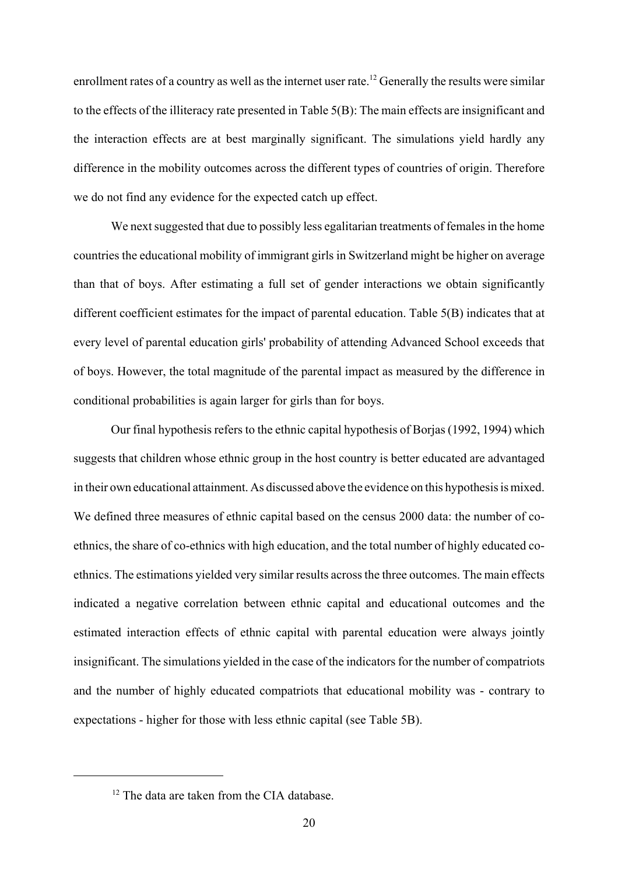enrollment rates of a country as well as the internet user rate.<sup>12</sup> Generally the results were similar to the effects of the illiteracy rate presented in Table 5(B): The main effects are insignificant and the interaction effects are at best marginally significant. The simulations yield hardly any difference in the mobility outcomes across the different types of countries of origin. Therefore we do not find any evidence for the expected catch up effect.

We next suggested that due to possibly less egalitarian treatments of females in the home countries the educational mobility of immigrant girls in Switzerland might be higher on average than that of boys. After estimating a full set of gender interactions we obtain significantly different coefficient estimates for the impact of parental education. Table 5(B) indicates that at every level of parental education girls' probability of attending Advanced School exceeds that of boys. However, the total magnitude of the parental impact as measured by the difference in conditional probabilities is again larger for girls than for boys.

Our final hypothesis refers to the ethnic capital hypothesis of Borjas (1992, 1994) which suggests that children whose ethnic group in the host country is better educated are advantaged in their own educational attainment. As discussed above the evidence on this hypothesis is mixed. We defined three measures of ethnic capital based on the census 2000 data: the number of coethnics, the share of co-ethnics with high education, and the total number of highly educated coethnics. The estimations yielded very similar results across the three outcomes. The main effects indicated a negative correlation between ethnic capital and educational outcomes and the estimated interaction effects of ethnic capital with parental education were always jointly insignificant. The simulations yielded in the case of the indicators for the number of compatriots and the number of highly educated compatriots that educational mobility was - contrary to expectations - higher for those with less ethnic capital (see Table 5B).

<sup>&</sup>lt;sup>12</sup> The data are taken from the CIA database.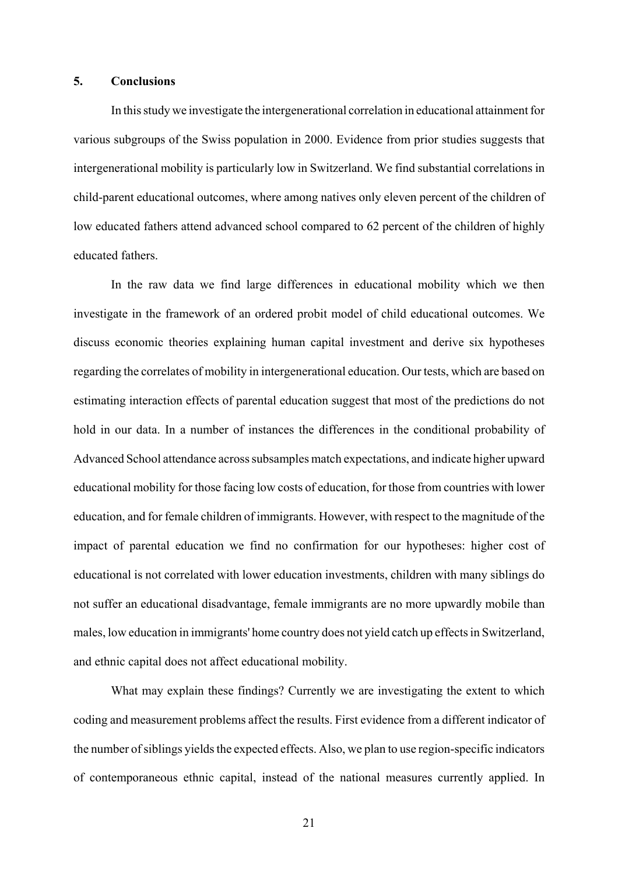### **5. Conclusions**

In this study we investigate the intergenerational correlation in educational attainment for various subgroups of the Swiss population in 2000. Evidence from prior studies suggests that intergenerational mobility is particularly low in Switzerland. We find substantial correlations in child-parent educational outcomes, where among natives only eleven percent of the children of low educated fathers attend advanced school compared to 62 percent of the children of highly educated fathers.

In the raw data we find large differences in educational mobility which we then investigate in the framework of an ordered probit model of child educational outcomes. We discuss economic theories explaining human capital investment and derive six hypotheses regarding the correlates of mobility in intergenerational education. Our tests, which are based on estimating interaction effects of parental education suggest that most of the predictions do not hold in our data. In a number of instances the differences in the conditional probability of Advanced School attendance across subsamples match expectations, and indicate higher upward educational mobility for those facing low costs of education, for those from countries with lower education, and for female children of immigrants. However, with respect to the magnitude of the impact of parental education we find no confirmation for our hypotheses: higher cost of educational is not correlated with lower education investments, children with many siblings do not suffer an educational disadvantage, female immigrants are no more upwardly mobile than males, low education in immigrants' home country does not yield catch up effects in Switzerland, and ethnic capital does not affect educational mobility.

What may explain these findings? Currently we are investigating the extent to which coding and measurement problems affect the results. First evidence from a different indicator of the number of siblings yields the expected effects. Also, we plan to use region-specific indicators of contemporaneous ethnic capital, instead of the national measures currently applied. In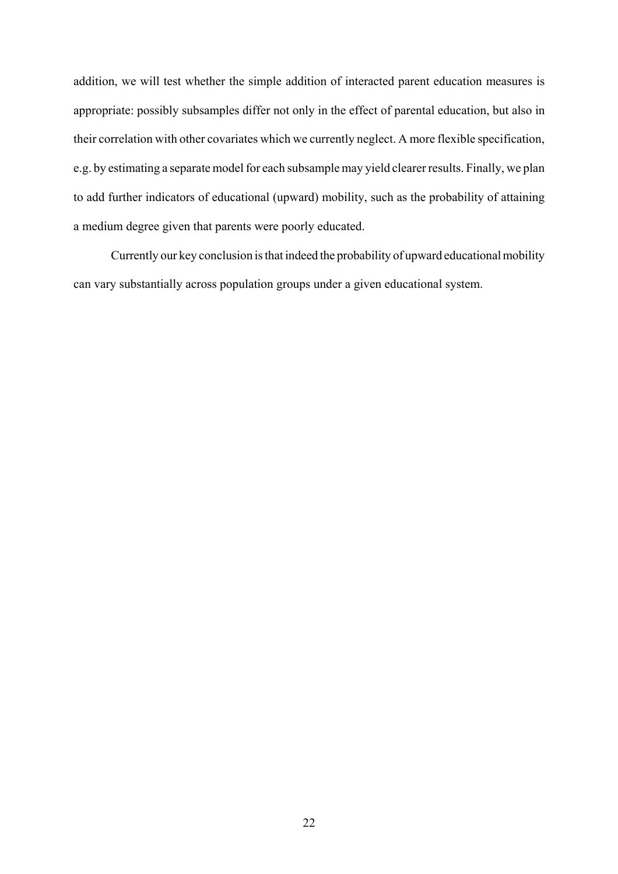addition, we will test whether the simple addition of interacted parent education measures is appropriate: possibly subsamples differ not only in the effect of parental education, but also in their correlation with other covariates which we currently neglect. A more flexible specification, e.g. by estimating a separate model for each subsample may yield clearer results. Finally, we plan to add further indicators of educational (upward) mobility, such as the probability of attaining a medium degree given that parents were poorly educated.

Currently our key conclusion is that indeed the probability of upward educational mobility can vary substantially across population groups under a given educational system.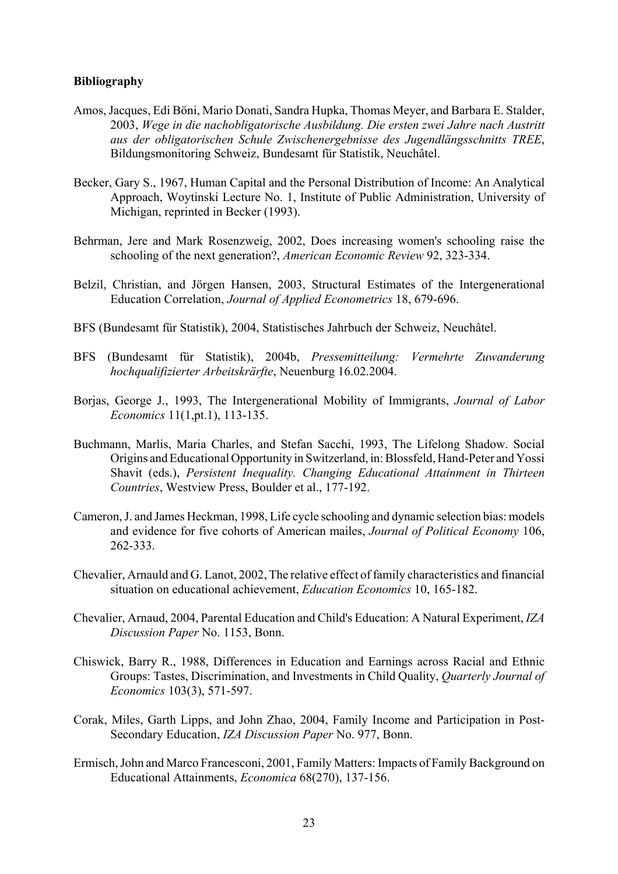## **Bibliography**

- Amos, Jacques, Edi Böni, Mario Donati, Sandra Hupka, Thomas Meyer, and Barbara E. Stalder, 2003, *Wege in die nachobligatorische Ausbildung. Die ersten zwei Jahre nach Austritt aus der obligatorischen Schule Zwischenergebnisse des Jugendlängsschnitts TREE*, Bildungsmonitoring Schweiz, Bundesamt für Statistik, Neuchâtel.
- Becker, Gary S., 1967, Human Capital and the Personal Distribution of Income: An Analytical Approach, Woytinski Lecture No. 1, Institute of Public Administration, University of Michigan, reprinted in Becker (1993).
- Behrman, Jere and Mark Rosenzweig, 2002, Does increasing women's schooling raise the schooling of the next generation?, *American Economic Review* 92, 323-334.
- Belzil, Christian, and Jörgen Hansen, 2003, Structural Estimates of the Intergenerational Education Correlation, *Journal of Applied Econometrics* 18, 679-696.
- BFS (Bundesamt für Statistik), 2004, Statistisches Jahrbuch der Schweiz, Neuchâtel.
- BFS (Bundesamt für Statistik), 2004b, *Pressemitteilung: Vermehrte Zuwanderung hochqualifizierter Arbeitskrärfte*, Neuenburg 16.02.2004.
- Borjas, George J., 1993, The Intergenerational Mobility of Immigrants, *Journal of Labor Economics* 11(1,pt.1), 113-135.
- Buchmann, Marlis, Maria Charles, and Stefan Sacchi, 1993, The Lifelong Shadow. Social Origins and Educational Opportunity in Switzerland, in: Blossfeld, Hand-Peter and Yossi Shavit (eds.), *Persistent Inequality. Changing Educational Attainment in Thirteen Countries*, Westview Press, Boulder et al., 177-192.
- Cameron, J. and James Heckman, 1998, Life cycle schooling and dynamic selection bias: models and evidence for five cohorts of American mailes, *Journal of Political Economy* 106, 262-333.
- Chevalier, Arnauld and G. Lanot, 2002, The relative effect of family characteristics and financial situation on educational achievement, *Education Economics* 10, 165-182.
- Chevalier, Arnaud, 2004, Parental Education and Child's Education: A Natural Experiment, *IZA Discussion Paper* No. 1153, Bonn.
- Chiswick, Barry R., 1988, Differences in Education and Earnings across Racial and Ethnic Groups: Tastes, Discrimination, and Investments in Child Quality, *Quarterly Journal of Economics* 103(3), 571-597.
- Corak, Miles, Garth Lipps, and John Zhao, 2004, Family Income and Participation in Post-Secondary Education, *IZA Discussion Paper* No. 977, Bonn.
- Ermisch, John and Marco Francesconi, 2001, Family Matters: Impacts of Family Background on Educational Attainments, *Economica* 68(270), 137-156.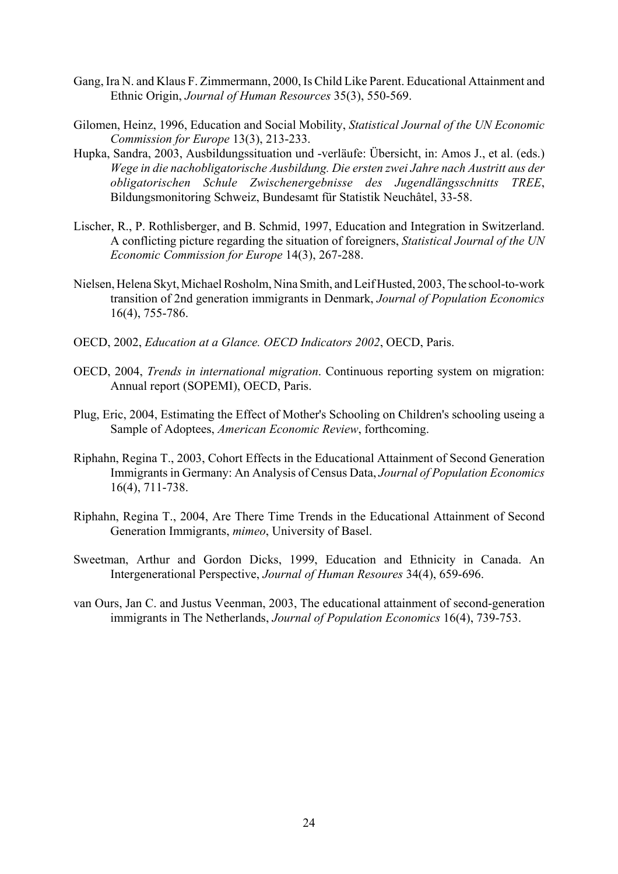- Gang, Ira N. and Klaus F. Zimmermann, 2000, Is Child Like Parent. Educational Attainment and Ethnic Origin, *Journal of Human Resources* 35(3), 550-569.
- Gilomen, Heinz, 1996, Education and Social Mobility, *Statistical Journal of the UN Economic Commission for Europe* 13(3), 213-233.
- Hupka, Sandra, 2003, Ausbildungssituation und -verläufe: Übersicht, in: Amos J., et al. (eds.) *Wege in die nachobligatorische Ausbildung. Die ersten zwei Jahre nach Austritt aus der obligatorischen Schule Zwischenergebnisse des Jugendlängsschnitts TREE*, Bildungsmonitoring Schweiz, Bundesamt für Statistik Neuchâtel, 33-58.
- Lischer, R., P. Rothlisberger, and B. Schmid, 1997, Education and Integration in Switzerland. A conflicting picture regarding the situation of foreigners, *Statistical Journal of the UN Economic Commission for Europe* 14(3), 267-288.
- Nielsen, Helena Skyt, Michael Rosholm, Nina Smith, and Leif Husted, 2003, The school-to-work transition of 2nd generation immigrants in Denmark, *Journal of Population Economics* 16(4), 755-786.
- OECD, 2002, *Education at a Glance. OECD Indicators 2002*, OECD, Paris.
- OECD, 2004, *Trends in international migration*. Continuous reporting system on migration: Annual report (SOPEMI), OECD, Paris.
- Plug, Eric, 2004, Estimating the Effect of Mother's Schooling on Children's schooling useing a Sample of Adoptees, *American Economic Review*, forthcoming.
- Riphahn, Regina T., 2003, Cohort Effects in the Educational Attainment of Second Generation Immigrants in Germany: An Analysis of Census Data, *Journal of Population Economics* 16(4), 711-738.
- Riphahn, Regina T., 2004, Are There Time Trends in the Educational Attainment of Second Generation Immigrants, *mimeo*, University of Basel.
- Sweetman, Arthur and Gordon Dicks, 1999, Education and Ethnicity in Canada. An Intergenerational Perspective, *Journal of Human Resoures* 34(4), 659-696.
- van Ours, Jan C. and Justus Veenman, 2003, The educational attainment of second-generation immigrants in The Netherlands, *Journal of Population Economics* 16(4), 739-753.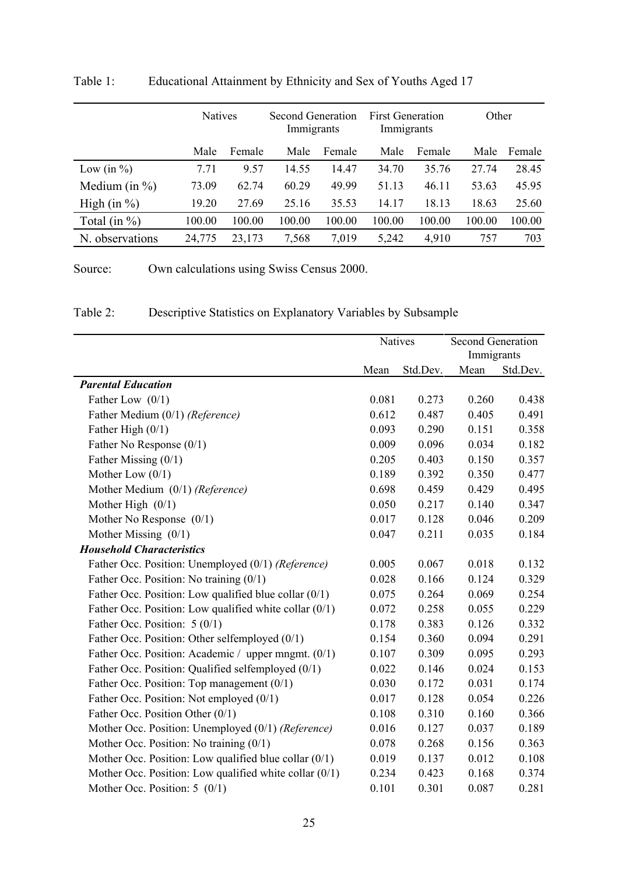|                   | <b>Natives</b> |        | Second Generation<br>Immigrants |        | <b>First Generation</b><br>Immigrants |        | Other  |        |
|-------------------|----------------|--------|---------------------------------|--------|---------------------------------------|--------|--------|--------|
|                   | Male           | Female | Male                            | Female | Male                                  | Female | Male   | Female |
| Low (in $\%$ )    | 7.71           | 9.57   | 14.55                           | 14.47  | 34.70                                 | 35.76  | 27.74  | 28.45  |
| Medium (in $\%$ ) | 73.09          | 62.74  | 60.29                           | 49.99  | 51.13                                 | 46.11  | 53.63  | 45.95  |
| High $(in %)$     | 19.20          | 27.69  | 25.16                           | 35.53  | 14.17                                 | 18.13  | 18.63  | 25.60  |
| Total (in $\%$ )  | 100.00         | 100.00 | 100.00                          | 100.00 | 100.00                                | 100.00 | 100.00 | 100.00 |
| N. observations   | 24,775         | 23,173 | 7,568                           | 7,019  | 5,242                                 | 4,910  | 757    | 703    |

Table 1: Educational Attainment by Ethnicity and Sex of Youths Aged 17

Source: Own calculations using Swiss Census 2000.

| Table 2:<br>Descriptive Statistics on Explanatory Variables by Subsample |  |
|--------------------------------------------------------------------------|--|
|--------------------------------------------------------------------------|--|

|                                                          | Natives |          | <b>Second Generation</b><br>Immigrants |          |
|----------------------------------------------------------|---------|----------|----------------------------------------|----------|
|                                                          | Mean    | Std.Dev. | Mean                                   | Std.Dev. |
| <b>Parental Education</b>                                |         |          |                                        |          |
| Father Low $(0/1)$                                       | 0.081   | 0.273    | 0.260                                  | 0.438    |
| Father Medium (0/1) (Reference)                          | 0.612   | 0.487    | 0.405                                  | 0.491    |
| Father High $(0/1)$                                      | 0.093   | 0.290    | 0.151                                  | 0.358    |
| Father No Response $(0/1)$                               | 0.009   | 0.096    | 0.034                                  | 0.182    |
| Father Missing (0/1)                                     | 0.205   | 0.403    | 0.150                                  | 0.357    |
| Mother Low $(0/1)$                                       | 0.189   | 0.392    | 0.350                                  | 0.477    |
| Mother Medium (0/1) (Reference)                          | 0.698   | 0.459    | 0.429                                  | 0.495    |
| Mother High $(0/1)$                                      | 0.050   | 0.217    | 0.140                                  | 0.347    |
| Mother No Response $(0/1)$                               | 0.017   | 0.128    | 0.046                                  | 0.209    |
| Mother Missing $(0/1)$                                   | 0.047   | 0.211    | 0.035                                  | 0.184    |
| <b>Household Characteristics</b>                         |         |          |                                        |          |
| Father Occ. Position: Unemployed (0/1) (Reference)       | 0.005   | 0.067    | 0.018                                  | 0.132    |
| Father Occ. Position: No training (0/1)                  | 0.028   | 0.166    | 0.124                                  | 0.329    |
| Father Occ. Position: Low qualified blue collar (0/1)    | 0.075   | 0.264    | 0.069                                  | 0.254    |
| Father Occ. Position: Low qualified white collar (0/1)   | 0.072   | 0.258    | 0.055                                  | 0.229    |
| Father Occ. Position: $5(0/1)$                           | 0.178   | 0.383    | 0.126                                  | 0.332    |
| Father Occ. Position: Other selfemployed (0/1)           | 0.154   | 0.360    | 0.094                                  | 0.291    |
| Father Occ. Position: Academic / upper mngmt. (0/1)      | 0.107   | 0.309    | 0.095                                  | 0.293    |
| Father Occ. Position: Qualified selfemployed (0/1)       | 0.022   | 0.146    | 0.024                                  | 0.153    |
| Father Occ. Position: Top management (0/1)               | 0.030   | 0.172    | 0.031                                  | 0.174    |
| Father Occ. Position: Not employed (0/1)                 | 0.017   | 0.128    | 0.054                                  | 0.226    |
| Father Occ. Position Other (0/1)                         | 0.108   | 0.310    | 0.160                                  | 0.366    |
| Mother Occ. Position: Unemployed (0/1) (Reference)       | 0.016   | 0.127    | 0.037                                  | 0.189    |
| Mother Occ. Position: No training $(0/1)$                | 0.078   | 0.268    | 0.156                                  | 0.363    |
| Mother Occ. Position: Low qualified blue collar $(0/1)$  | 0.019   | 0.137    | 0.012                                  | 0.108    |
| Mother Occ. Position: Low qualified white collar $(0/1)$ | 0.234   | 0.423    | 0.168                                  | 0.374    |
| Mother Occ. Position: $5 \left( \frac{0}{1} \right)$     | 0.101   | 0.301    | 0.087                                  | 0.281    |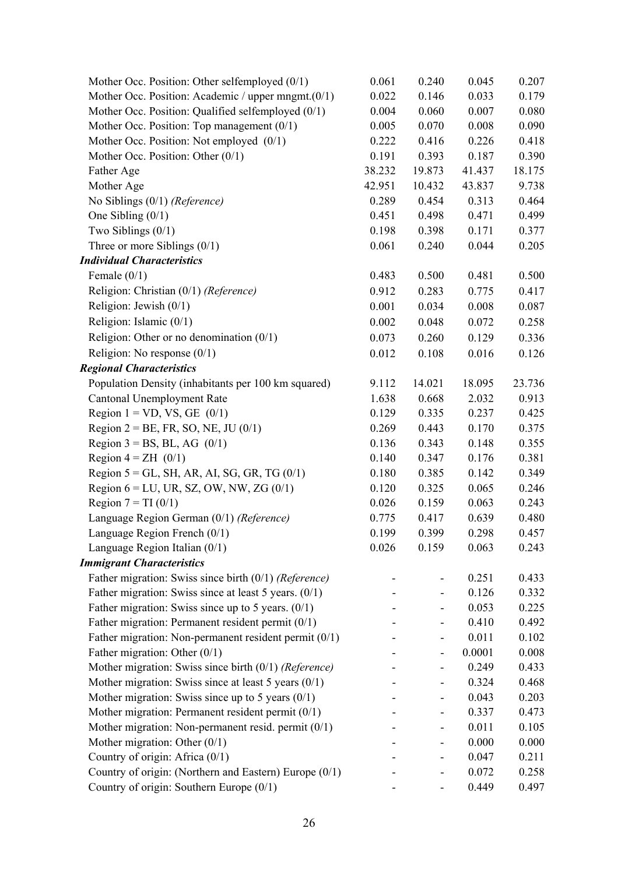| Mother Occ. Position: Other selfemployed $(0/1)$        | 0.061  | 0.240                    | 0.045  | 0.207  |
|---------------------------------------------------------|--------|--------------------------|--------|--------|
| Mother Occ. Position: Academic / upper mngmt.(0/1)      | 0.022  | 0.146                    | 0.033  | 0.179  |
| Mother Occ. Position: Qualified selfemployed (0/1)      | 0.004  | 0.060                    | 0.007  | 0.080  |
| Mother Occ. Position: Top management $(0/1)$            | 0.005  | 0.070                    | 0.008  | 0.090  |
| Mother Occ. Position: Not employed (0/1)                | 0.222  | 0.416                    | 0.226  | 0.418  |
| Mother Occ. Position: Other $(0/1)$                     | 0.191  | 0.393                    | 0.187  | 0.390  |
| Father Age                                              | 38.232 | 19.873                   | 41.437 | 18.175 |
| Mother Age                                              | 42.951 | 10.432                   | 43.837 | 9.738  |
| No Siblings $(0/1)$ (Reference)                         | 0.289  | 0.454                    | 0.313  | 0.464  |
| One Sibling $(0/1)$                                     | 0.451  | 0.498                    | 0.471  | 0.499  |
| Two Siblings $(0/1)$                                    | 0.198  | 0.398                    | 0.171  | 0.377  |
| Three or more Siblings $(0/1)$                          | 0.061  | 0.240                    | 0.044  | 0.205  |
| <b>Individual Characteristics</b>                       |        |                          |        |        |
| Female $(0/1)$                                          | 0.483  | 0.500                    | 0.481  | 0.500  |
| Religion: Christian (0/1) (Reference)                   | 0.912  | 0.283                    | 0.775  | 0.417  |
| Religion: Jewish $(0/1)$                                | 0.001  | 0.034                    | 0.008  | 0.087  |
| Religion: Islamic $(0/1)$                               | 0.002  | 0.048                    | 0.072  | 0.258  |
| Religion: Other or no denomination $(0/1)$              | 0.073  | 0.260                    | 0.129  | 0.336  |
| Religion: No response $(0/1)$                           | 0.012  | 0.108                    | 0.016  | 0.126  |
| <b>Regional Characteristics</b>                         |        |                          |        |        |
| Population Density (inhabitants per 100 km squared)     | 9.112  | 14.021                   | 18.095 | 23.736 |
| Cantonal Unemployment Rate                              | 1.638  | 0.668                    | 2.032  | 0.913  |
| Region $1 = VD$ , VS, GE $(0/1)$                        | 0.129  | 0.335                    | 0.237  | 0.425  |
| Region $2 = BE$ , FR, SO, NE, JU (0/1)                  | 0.269  | 0.443                    | 0.170  | 0.375  |
| Region $3 = BS$ , BL, AG (0/1)                          | 0.136  | 0.343                    | 0.148  | 0.355  |
| Region $4 = ZH$ (0/1)                                   | 0.140  | 0.347                    | 0.176  | 0.381  |
| Region $5 = GL$ , SH, AR, AI, SG, GR, TG (0/1)          | 0.180  | 0.385                    | 0.142  | 0.349  |
| Region $6 = LU$ , UR, SZ, OW, NW, ZG $(0/1)$            | 0.120  | 0.325                    | 0.065  | 0.246  |
| Region $7 = TI(0/1)$                                    | 0.026  | 0.159                    | 0.063  | 0.243  |
| Language Region German (0/1) (Reference)                | 0.775  | 0.417                    | 0.639  | 0.480  |
| Language Region French (0/1)                            | 0.199  | 0.399                    | 0.298  | 0.457  |
| Language Region Italian $(0/1)$                         | 0.026  | 0.159                    | 0.063  | 0.243  |
| <b>Immigrant Characteristics</b>                        |        |                          |        |        |
| Father migration: Swiss since birth $(0/1)$ (Reference) |        |                          | 0.251  | 0.433  |
| Father migration: Swiss since at least 5 years. $(0/1)$ |        | $\overline{\phantom{0}}$ | 0.126  | 0.332  |
| Father migration: Swiss since up to 5 years. $(0/1)$    |        | -                        | 0.053  | 0.225  |
| Father migration: Permanent resident permit $(0/1)$     |        |                          | 0.410  | 0.492  |
| Father migration: Non-permanent resident permit (0/1)   |        | -                        | 0.011  | 0.102  |
| Father migration: Other $(0/1)$                         |        | -                        | 0.0001 | 0.008  |
| Mother migration: Swiss since birth $(0/1)$ (Reference) |        | -                        | 0.249  | 0.433  |
| Mother migration: Swiss since at least 5 years $(0/1)$  |        | -                        | 0.324  | 0.468  |
| Mother migration: Swiss since up to 5 years $(0/1)$     |        | -                        | 0.043  | 0.203  |
| Mother migration: Permanent resident permit (0/1)       |        | -                        | 0.337  | 0.473  |
| Mother migration: Non-permanent resid. permit (0/1)     |        | -                        | 0.011  | 0.105  |
| Mother migration: Other $(0/1)$                         |        | -                        | 0.000  | 0.000  |
| Country of origin: Africa (0/1)                         |        | -                        | 0.047  | 0.211  |
| Country of origin: (Northern and Eastern) Europe (0/1)  |        |                          | 0.072  | 0.258  |
| Country of origin: Southern Europe $(0/1)$              |        |                          | 0.449  | 0.497  |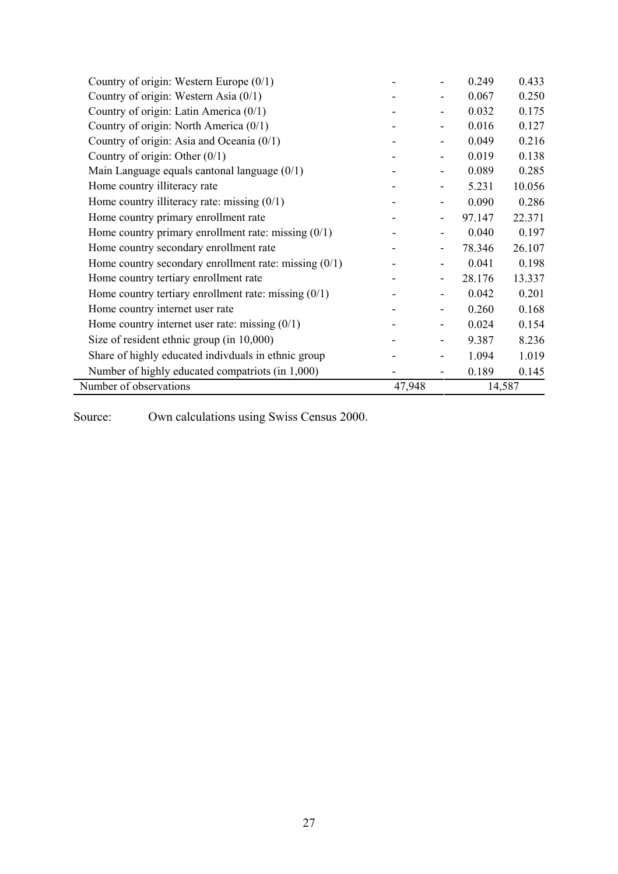| Country of origin: Western Europe (0/1)                 |        |                              | 0.249  | 0.433  |
|---------------------------------------------------------|--------|------------------------------|--------|--------|
| Country of origin: Western Asia $(0/1)$                 |        |                              | 0.067  | 0.250  |
| Country of origin: Latin America (0/1)                  |        |                              | 0.032  | 0.175  |
| Country of origin: North America (0/1)                  |        |                              | 0.016  | 0.127  |
| Country of origin: Asia and Oceania (0/1)               |        |                              | 0.049  | 0.216  |
| Country of origin: Other $(0/1)$                        |        |                              | 0.019  | 0.138  |
| Main Language equals cantonal language (0/1)            |        |                              | 0.089  | 0.285  |
| Home country illiteracy rate                            |        |                              | 5.231  | 10.056 |
| Home country illiteracy rate: missing $(0/1)$           |        |                              | 0.090  | 0.286  |
| Home country primary enrollment rate                    |        |                              | 97.147 | 22.371 |
| Home country primary enrollment rate: missing $(0/1)$   |        |                              | 0.040  | 0.197  |
| Home country secondary enrollment rate                  |        | -                            | 78.346 | 26.107 |
| Home country secondary enrollment rate: missing $(0/1)$ |        |                              | 0.041  | 0.198  |
| Home country tertiary enrollment rate                   |        |                              | 28.176 | 13.337 |
| Home country tertiary enrollment rate: missing $(0/1)$  |        |                              | 0.042  | 0.201  |
| Home country internet user rate                         |        |                              | 0.260  | 0.168  |
| Home country internet user rate: missing $(0/1)$        |        | $\qquad \qquad \blacksquare$ | 0.024  | 0.154  |
| Size of resident ethnic group (in $10,000$ )            |        |                              | 9.387  | 8.236  |
| Share of highly educated indivduals in ethnic group     |        |                              | 1.094  | 1.019  |
| Number of highly educated compatriots (in 1,000)        |        |                              | 0.189  | 0.145  |
| Number of observations                                  | 47,948 |                              | 14,587 |        |

Source: Own calculations using Swiss Census 2000.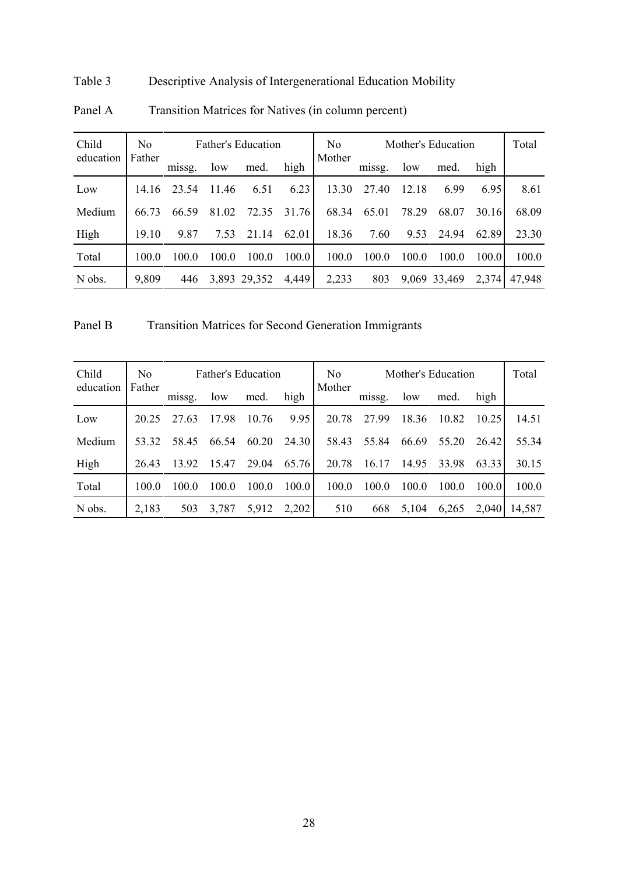# Table 3 Descriptive Analysis of Intergenerational Education Mobility

| Child     | N <sub>0</sub> | <b>Father's Education</b> |       |              |       |        | Mother's Education |       |              |       | Total  |
|-----------|----------------|---------------------------|-------|--------------|-------|--------|--------------------|-------|--------------|-------|--------|
| education | Father         | missg.                    | low   | med.         | high  | Mother | missg.             | low   | med.         | high  |        |
| Low       | 14.16          | 23.54                     | 11.46 | 6.51         | 6.23  | 13.30  | 27.40              | 12.18 | 6.99         | 6.95  | 8.61   |
| Medium    | 66.73          | 66.59                     | 81.02 | 72.35        | 31.76 | 68.34  | 65.01              | 78.29 | 68.07        | 30.16 | 68.09  |
| High      | 19.10          | 9.87                      | 7.53  | 21.14        | 62.01 | 18.36  | 7.60               | 9.53  | 24.94        | 62.89 | 23.30  |
| Total     | 100.0          | 100 0                     | 100.0 | 100.0        | 100.0 | 100.0  | 100.0              | 100.0 | 100.0        | 100.0 | 100.0  |
| N obs.    | 9,809          | 446                       |       | 3,893 29,352 | 4,449 | 2,233  | 803                |       | 9,069 33,469 | 2,374 | 47,948 |

# Panel A Transition Matrices for Natives (in column percent)

Panel B Transition Matrices for Second Generation Immigrants

| Child     | N <sub>0</sub> | <b>Father's Education</b> |       |       | N <sub>0</sub> | Mother's Education |        |       |       | Total |        |
|-----------|----------------|---------------------------|-------|-------|----------------|--------------------|--------|-------|-------|-------|--------|
| education | Father         | missg.                    | low   | med.  | high           | Mother             | missg. | low   | med.  | high  |        |
| Low       | 20 25          | 27.63                     | 17.98 | 10.76 | 9.95           | 20.78              | 2799   | 18.36 | 10.82 | 10.25 | 14.51  |
| Medium    | 53.32          | 58.45                     | 66.54 | 60.20 | 24.30          | 58.43              | 55.84  | 66.69 | 55.20 | 26.42 | 55.34  |
| High      | 26.43          | 13.92                     | 15.47 | 29.04 | 65.76          | 20.78              | 16.17  | 14.95 | 33.98 | 63.33 | 30.15  |
| Total     | 100.0          | 100.0                     | 100.0 | 100.0 | 100.0          | 100.0              | 100.0  | 100.0 | 100.0 | 100.0 | 100.0  |
| N obs.    | 2,183          | 503                       | 3,787 | 5,912 | 2,202          | 510                | 668    | 5,104 | 6,265 | 2,040 | 14,587 |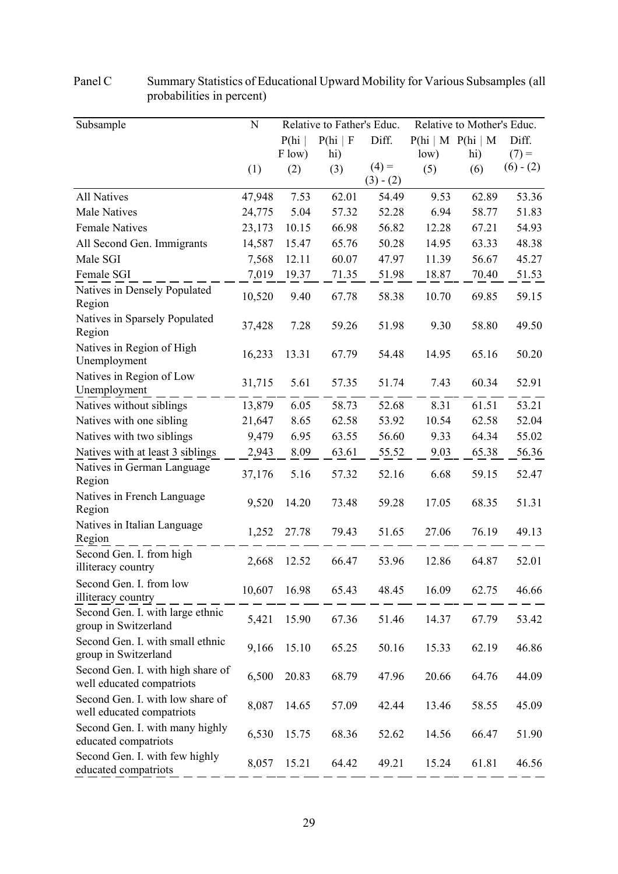| Subsample                                                      | ${\bf N}$ |        | Relative to Father's Educ. |                        |       | Relative to Mother's Educ.  |             |
|----------------------------------------------------------------|-----------|--------|----------------------------|------------------------|-------|-----------------------------|-------------|
|                                                                |           | P(hi)  | P(hi   F)                  | Diff.                  |       | $P(hi \mid M \ P(hi \mid M$ | Diff.       |
|                                                                |           | F low) | hi)                        |                        | low)  | hi)                         | $(7) =$     |
|                                                                | (1)       | (2)    | (3)                        | $(4) =$<br>$(3) - (2)$ | (5)   | (6)                         | $(6) - (2)$ |
| <b>All Natives</b>                                             | 47,948    | 7.53   | 62.01                      | 54.49                  | 9.53  | 62.89                       | 53.36       |
| <b>Male Natives</b>                                            | 24,775    | 5.04   | 57.32                      | 52.28                  | 6.94  | 58.77                       | 51.83       |
| <b>Female Natives</b>                                          | 23,173    | 10.15  | 66.98                      | 56.82                  | 12.28 | 67.21                       | 54.93       |
| All Second Gen. Immigrants                                     | 14,587    | 15.47  | 65.76                      | 50.28                  | 14.95 | 63.33                       | 48.38       |
| Male SGI                                                       | 7,568     | 12.11  | 60.07                      | 47.97                  | 11.39 | 56.67                       | 45.27       |
| Female SGI                                                     | 7,019     | 19.37  | 71.35                      | 51.98                  | 18.87 | 70.40                       | 51.53       |
| Natives in Densely Populated<br>Region                         | 10,520    | 9.40   | 67.78                      | 58.38                  | 10.70 | 69.85                       | 59.15       |
| Natives in Sparsely Populated<br>Region                        | 37,428    | 7.28   | 59.26                      | 51.98                  | 9.30  | 58.80                       | 49.50       |
| Natives in Region of High<br>Unemployment                      | 16,233    | 13.31  | 67.79                      | 54.48                  | 14.95 | 65.16                       | 50.20       |
| Natives in Region of Low<br>Unemployment                       | 31,715    | 5.61   | 57.35                      | 51.74                  | 7.43  | 60.34                       | 52.91       |
| Natives without siblings                                       | 13,879    | 6.05   | 58.73                      | 52.68                  | 8.31  | 61.51                       | 53.21       |
| Natives with one sibling                                       | 21,647    | 8.65   | 62.58                      | 53.92                  | 10.54 | 62.58                       | 52.04       |
| Natives with two siblings                                      | 9,479     | 6.95   | 63.55                      | 56.60                  | 9.33  | 64.34                       | 55.02       |
| Natives with at least 3 siblings                               | 2,943     | 8.09   | 63.61                      | 55.52                  | 9.03  | 65.38                       | 56.36       |
| Natives in German Language<br>Region                           | 37,176    | 5.16   | 57.32                      | 52.16                  | 6.68  | 59.15                       | 52.47       |
| Natives in French Language<br>Region                           | 9,520     | 14.20  | 73.48                      | 59.28                  | 17.05 | 68.35                       | 51.31       |
| Natives in Italian Language<br>Region                          | 1,252     | 27.78  | 79.43                      | 51.65                  | 27.06 | 76.19                       | 49.13       |
| Second Gen. I. from high<br>illiteracy country                 | 2,668     | 12.52  | 66.47                      | 53.96                  | 12.86 | 64.87                       | 52.01       |
| Second Gen. I. from low<br>illiteracy country                  | 10,607    | 16.98  | 65.43                      | 48.45                  | 16.09 | 62.75                       | 46.66       |
| Second Gen. I. with large ethnic<br>group in Switzerland       | 5,421     | 15.90  | 67.36                      | 51.46                  | 14.37 | 67.79                       | 53.42       |
| Second Gen. I. with small ethnic<br>group in Switzerland       | 9,166     | 15.10  | 65.25                      | 50.16                  | 15.33 | 62.19                       | 46.86       |
| Second Gen. I. with high share of<br>well educated compatriots | 6,500     | 20.83  | 68.79                      | 47.96                  | 20.66 | 64.76                       | 44.09       |
| Second Gen. I. with low share of<br>well educated compatriots  | 8,087     | 14.65  | 57.09                      | 42.44                  | 13.46 | 58.55                       | 45.09       |
| Second Gen. I. with many highly<br>educated compatriots        | 6,530     | 15.75  | 68.36                      | 52.62                  | 14.56 | 66.47                       | 51.90       |
| Second Gen. I. with few highly<br>educated compatriots         | 8,057     | 15.21  | 64.42                      | 49.21                  | 15.24 | 61.81                       | 46.56       |

Panel C Summary Statistics of Educational Upward Mobility for Various Subsamples (all probabilities in percent)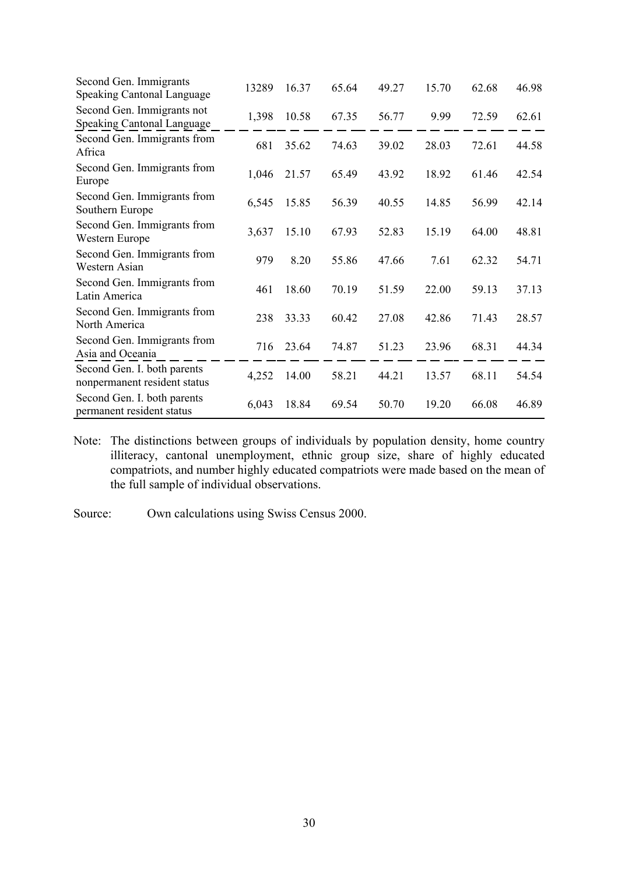| Second Gen. Immigrants<br><b>Speaking Cantonal Language</b>     | 13289 | 16.37 | 65.64 | 49.27 | 15.70 | 62.68 | 46.98 |
|-----------------------------------------------------------------|-------|-------|-------|-------|-------|-------|-------|
| Second Gen. Immigrants not<br><b>Speaking Cantonal Language</b> | 1,398 | 10.58 | 67.35 | 56.77 | 9.99  | 72.59 | 62.61 |
| Second Gen. Immigrants from<br>Africa                           | 681   | 35.62 | 74.63 | 39.02 | 28.03 | 72.61 | 44.58 |
| Second Gen. Immigrants from<br>Europe                           | 1,046 | 21.57 | 65.49 | 43.92 | 18.92 | 61.46 | 42.54 |
| Second Gen. Immigrants from<br>Southern Europe                  | 6,545 | 15.85 | 56.39 | 40.55 | 14.85 | 56.99 | 42.14 |
| Second Gen. Immigrants from<br>Western Europe                   | 3,637 | 15.10 | 67.93 | 52.83 | 15.19 | 64.00 | 48.81 |
| Second Gen. Immigrants from<br>Western Asian                    | 979   | 8.20  | 55.86 | 47.66 | 7.61  | 62.32 | 54.71 |
| Second Gen. Immigrants from<br>Latin America                    | 461   | 18.60 | 70.19 | 51.59 | 22.00 | 59.13 | 37.13 |
| Second Gen. Immigrants from<br>North America                    | 238   | 33.33 | 60.42 | 27.08 | 42.86 | 71.43 | 28.57 |
| Second Gen. Immigrants from<br>Asia and Oceania                 | 716   | 23.64 | 74.87 | 51.23 | 23.96 | 68.31 | 44.34 |
| Second Gen. I. both parents<br>nonpermanent resident status     | 4,252 | 14.00 | 58.21 | 44.21 | 13.57 | 68.11 | 54.54 |
| Second Gen. I. both parents<br>permanent resident status        | 6,043 | 18.84 | 69.54 | 50.70 | 19.20 | 66.08 | 46.89 |

Note: The distinctions between groups of individuals by population density, home country illiteracy, cantonal unemployment, ethnic group size, share of highly educated compatriots, and number highly educated compatriots were made based on the mean of the full sample of individual observations.

Source: Own calculations using Swiss Census 2000.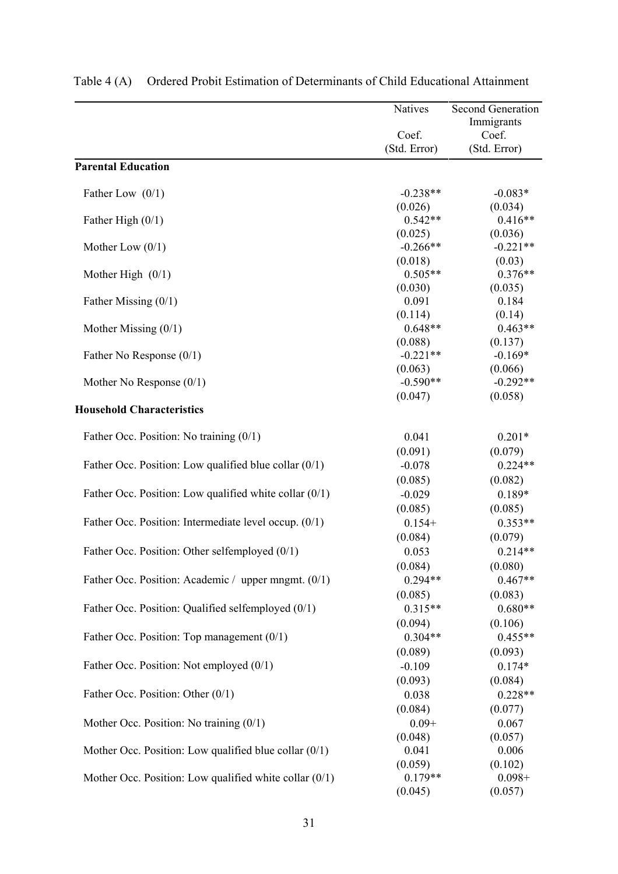|                                                          | Natives               | <b>Second Generation</b> |
|----------------------------------------------------------|-----------------------|--------------------------|
|                                                          |                       | Immigrants               |
|                                                          | Coef.<br>(Std. Error) | Coef.<br>(Std. Error)    |
| <b>Parental Education</b>                                |                       |                          |
| Father Low $(0/1)$                                       | $-0.238**$            | $-0.083*$                |
|                                                          | (0.026)               | (0.034)                  |
| Father High $(0/1)$                                      | $0.542**$             | $0.416**$                |
|                                                          | (0.025)               | (0.036)                  |
| Mother Low $(0/1)$                                       | $-0.266**$            | $-0.221**$               |
|                                                          | (0.018)               | (0.03)                   |
| Mother High $(0/1)$                                      | $0.505**$             | $0.376**$                |
|                                                          | (0.030)               | (0.035)                  |
| Father Missing $(0/1)$                                   | 0.091                 | 0.184                    |
|                                                          | (0.114)               | (0.14)                   |
| Mother Missing $(0/1)$                                   | $0.648**$             | $0.463**$                |
|                                                          | (0.088)               | (0.137)                  |
| Father No Response $(0/1)$                               | $-0.221**$            | $-0.169*$                |
|                                                          | (0.063)               | (0.066)                  |
| Mother No Response $(0/1)$                               | $-0.590**$            | $-0.292**$               |
| <b>Household Characteristics</b>                         | (0.047)               | (0.058)                  |
| Father Occ. Position: No training (0/1)                  | 0.041                 | $0.201*$                 |
|                                                          | (0.091)               | (0.079)                  |
| Father Occ. Position: Low qualified blue collar $(0/1)$  | $-0.078$              | $0.224**$                |
|                                                          | (0.085)               | (0.082)                  |
| Father Occ. Position: Low qualified white collar $(0/1)$ | $-0.029$              | $0.189*$                 |
|                                                          | (0.085)               | (0.085)                  |
| Father Occ. Position: Intermediate level occup. (0/1)    | $0.154+$              | $0.353**$                |
|                                                          | (0.084)               | (0.079)                  |
| Father Occ. Position: Other selfemployed (0/1)           | 0.053                 | $0.214**$                |
|                                                          | (0.084)               | (0.080)                  |
| Father Occ. Position: Academic / upper mngmt. (0/1)      | $0.294**$             | $0.467**$                |
|                                                          | (0.085)               | (0.083)                  |
| Father Occ. Position: Qualified selfemployed (0/1)       | $0.315**$             | $0.680**$                |
|                                                          | (0.094)               | (0.106)                  |
| Father Occ. Position: Top management $(0/1)$             | $0.304**$             | $0.455**$                |
|                                                          | (0.089)               | (0.093)                  |
| Father Occ. Position: Not employed (0/1)                 | $-0.109$              | $0.174*$                 |
|                                                          | (0.093)               | (0.084)                  |
| Father Occ. Position: Other (0/1)                        | 0.038                 | $0.228**$                |
|                                                          | (0.084)               | (0.077)                  |
| Mother Occ. Position: No training $(0/1)$                | $0.09 +$              | 0.067                    |
|                                                          | (0.048)               | (0.057)                  |
| Mother Occ. Position: Low qualified blue collar $(0/1)$  | 0.041                 | 0.006                    |
|                                                          | (0.059)               | (0.102)                  |
| Mother Occ. Position: Low qualified white collar $(0/1)$ | $0.179**$             | $0.098 +$                |
|                                                          | (0.045)               | (0.057)                  |

| Table 4 (A) Ordered Probit Estimation of Determinants of Child Educational Attainment |  |  |  |
|---------------------------------------------------------------------------------------|--|--|--|
|                                                                                       |  |  |  |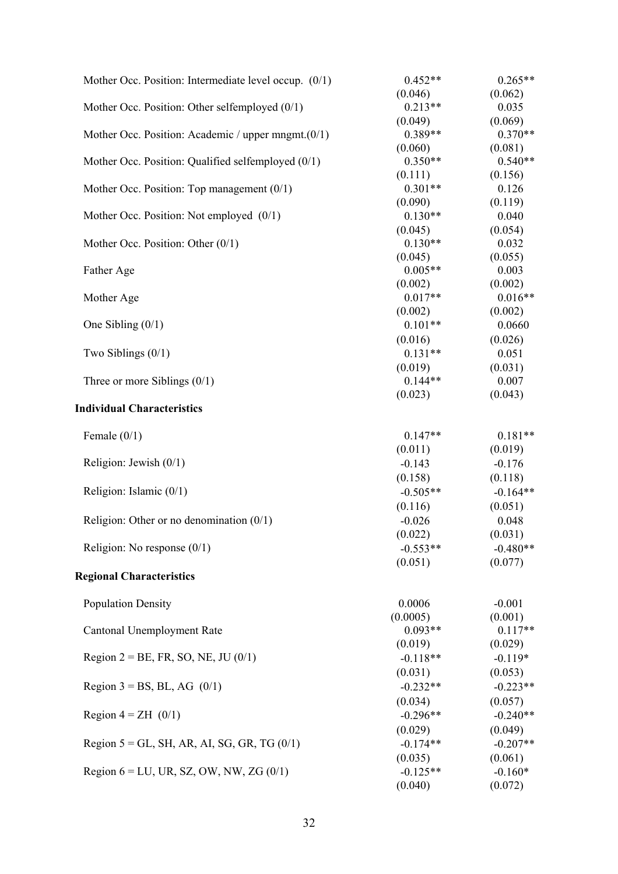| Mother Occ. Position: Intermediate level occup. $(0/1)$ | $0.452**$  | $0.265**$  |
|---------------------------------------------------------|------------|------------|
|                                                         | (0.046)    | (0.062)    |
| Mother Occ. Position: Other selfemployed $(0/1)$        | $0.213**$  | 0.035      |
|                                                         | (0.049)    | (0.069)    |
| Mother Occ. Position: Academic / upper mngmt. $(0/1)$   | $0.389**$  | $0.370**$  |
|                                                         | (0.060)    | (0.081)    |
| Mother Occ. Position: Qualified selfemployed (0/1)      | $0.350**$  | $0.540**$  |
|                                                         | (0.111)    | (0.156)    |
| Mother Occ. Position: Top management $(0/1)$            | $0.301**$  | 0.126      |
|                                                         | (0.090)    | (0.119)    |
| Mother Occ. Position: Not employed (0/1)                | $0.130**$  | 0.040      |
|                                                         | (0.045)    | (0.054)    |
| Mother Occ. Position: Other $(0/1)$                     | $0.130**$  | 0.032      |
|                                                         | (0.045)    | (0.055)    |
| Father Age                                              | $0.005**$  | 0.003      |
|                                                         | (0.002)    | (0.002)    |
| Mother Age                                              | $0.017**$  | $0.016**$  |
|                                                         | (0.002)    | (0.002)    |
| One Sibling $(0/1)$                                     | $0.101**$  | 0.0660     |
|                                                         | (0.016)    | (0.026)    |
| Two Siblings $(0/1)$                                    | $0.131**$  | 0.051      |
|                                                         | (0.019)    | (0.031)    |
| Three or more Siblings $(0/1)$                          | $0.144**$  | 0.007      |
|                                                         | (0.023)    | (0.043)    |
| <b>Individual Characteristics</b>                       |            |            |
| Female $(0/1)$                                          | $0.147**$  | $0.181**$  |
|                                                         | (0.011)    | (0.019)    |
| Religion: Jewish $(0/1)$                                | $-0.143$   | $-0.176$   |
|                                                         | (0.158)    | (0.118)    |
| Religion: Islamic $(0/1)$                               | $-0.505**$ | $-0.164**$ |
|                                                         | (0.116)    | (0.051)    |
| Religion: Other or no denomination $(0/1)$              | $-0.026$   | 0.048      |
|                                                         | (0.022)    | (0.031)    |
| Religion: No response $(0/1)$                           | $-0.553**$ | $-0.480**$ |
|                                                         | (0.051)    | (0.077)    |
| <b>Regional Characteristics</b>                         |            |            |
|                                                         |            |            |
| <b>Population Density</b>                               | 0.0006     | $-0.001$   |
|                                                         | (0.0005)   | (0.001)    |
| Cantonal Unemployment Rate                              | $0.093**$  | $0.117**$  |
|                                                         | (0.019)    | (0.029)    |
| Region $2 = BE$ , FR, SO, NE, JU (0/1)                  | $-0.118**$ | $-0.119*$  |
|                                                         | (0.031)    | (0.053)    |
| Region $3 = BS$ , BL, AG (0/1)                          | $-0.232**$ | $-0.223**$ |
|                                                         | (0.034)    | (0.057)    |
| Region $4 = ZH$ (0/1)                                   | $-0.296**$ | $-0.240**$ |
|                                                         | (0.029)    | (0.049)    |
| Region $5 = GL$ , SH, AR, AI, SG, GR, TG $(0/1)$        | $-0.174**$ | $-0.207**$ |
|                                                         | (0.035)    | (0.061)    |
| Region $6 = LU$ , UR, SZ, OW, NW, ZG $(0/1)$            | $-0.125**$ | $-0.160*$  |
|                                                         | (0.040)    | (0.072)    |
|                                                         |            |            |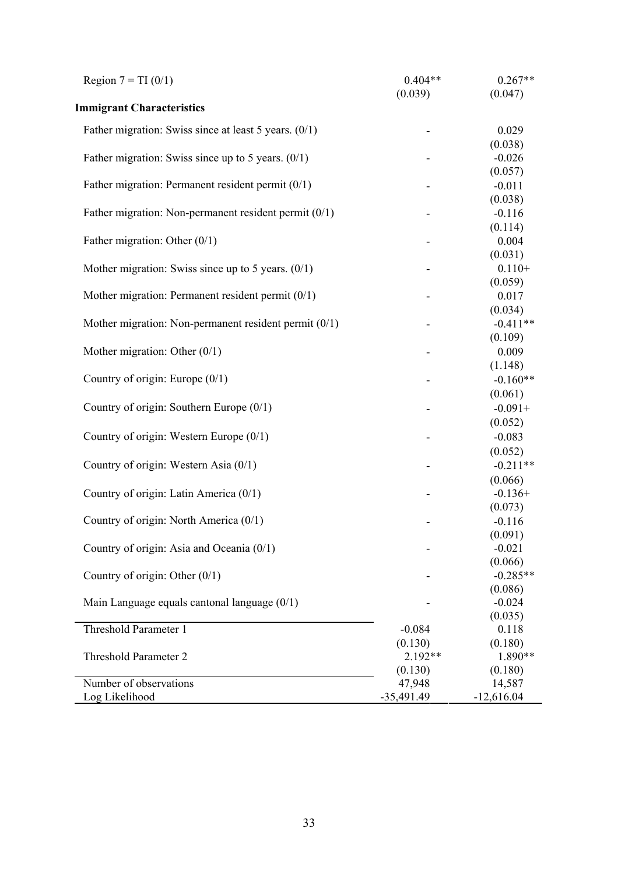| Region $7 = TI(0/1)$                                    | $0.404**$    | $0.267**$           |
|---------------------------------------------------------|--------------|---------------------|
|                                                         | (0.039)      | (0.047)             |
| <b>Immigrant Characteristics</b>                        |              |                     |
| Father migration: Swiss since at least 5 years. $(0/1)$ |              | 0.029               |
|                                                         |              | (0.038)             |
| Father migration: Swiss since up to 5 years. $(0/1)$    |              | $-0.026$            |
|                                                         |              | (0.057)             |
| Father migration: Permanent resident permit $(0/1)$     |              | $-0.011$            |
|                                                         |              | (0.038)             |
| Father migration: Non-permanent resident permit $(0/1)$ |              | $-0.116$            |
|                                                         |              | (0.114)             |
| Father migration: Other $(0/1)$                         |              | 0.004               |
|                                                         |              | (0.031)             |
| Mother migration: Swiss since up to 5 years. $(0/1)$    |              | $0.110+$            |
| Mother migration: Permanent resident permit $(0/1)$     |              | (0.059)<br>0.017    |
|                                                         |              | (0.034)             |
| Mother migration: Non-permanent resident permit (0/1)   |              | $-0.411**$          |
|                                                         |              | (0.109)             |
| Mother migration: Other $(0/1)$                         |              | 0.009               |
|                                                         |              | (1.148)             |
| Country of origin: Europe $(0/1)$                       |              | $-0.160**$          |
|                                                         |              | (0.061)             |
| Country of origin: Southern Europe $(0/1)$              |              | $-0.091+$           |
|                                                         |              | (0.052)             |
| Country of origin: Western Europe (0/1)                 |              | $-0.083$            |
|                                                         |              | (0.052)             |
| Country of origin: Western Asia (0/1)                   |              | $-0.211**$          |
|                                                         |              | (0.066)             |
| Country of origin: Latin America (0/1)                  |              | $-0.136+$           |
|                                                         |              | (0.073)             |
| Country of origin: North America (0/1)                  |              | $-0.116$            |
|                                                         |              | (0.091)             |
| Country of origin: Asia and Oceania (0/1)               |              | $-0.021$<br>(0.066) |
| Country of origin: Other $(0/1)$                        |              | $-0.285**$          |
|                                                         |              | (0.086)             |
| Main Language equals cantonal language $(0/1)$          |              | $-0.024$            |
|                                                         |              | (0.035)             |
| Threshold Parameter 1                                   | $-0.084$     | 0.118               |
|                                                         | (0.130)      | (0.180)             |
| Threshold Parameter 2                                   | $2.192**$    | 1.890**             |
|                                                         | (0.130)      | (0.180)             |
| Number of observations                                  | 47,948       | 14,587              |
| Log Likelihood                                          | $-35,491.49$ | $-12,616.04$        |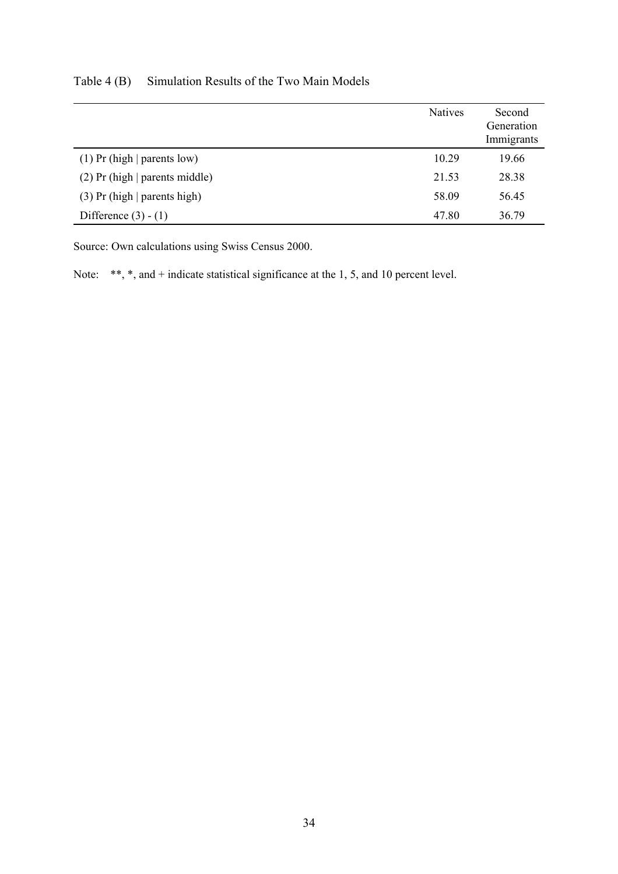|                                  | <b>Natives</b> | Second<br>Generation<br>Immigrants |
|----------------------------------|----------------|------------------------------------|
| $(1)$ Pr (high   parents low)    | 10.29          | 19.66                              |
| $(2)$ Pr (high   parents middle) | 21.53          | 28.38                              |
| $(3)$ Pr (high   parents high)   | 58.09          | 56.45                              |
| Difference $(3) - (1)$           | 47.80          | 36.79                              |

Table 4 (B) Simulation Results of the Two Main Models

Source: Own calculations using Swiss Census 2000.

Note: \*\*, \*, and + indicate statistical significance at the 1, 5, and 10 percent level.